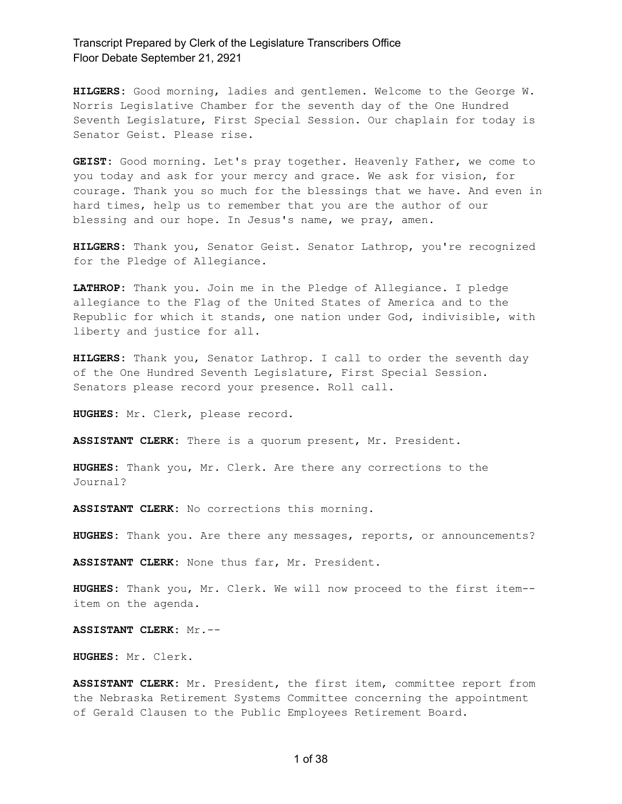**HILGERS:** Good morning, ladies and gentlemen. Welcome to the George W. Norris Legislative Chamber for the seventh day of the One Hundred Seventh Legislature, First Special Session. Our chaplain for today is Senator Geist. Please rise.

**GEIST:** Good morning. Let's pray together. Heavenly Father, we come to you today and ask for your mercy and grace. We ask for vision, for courage. Thank you so much for the blessings that we have. And even in hard times, help us to remember that you are the author of our blessing and our hope. In Jesus's name, we pray, amen.

**HILGERS:** Thank you, Senator Geist. Senator Lathrop, you're recognized for the Pledge of Allegiance.

**LATHROP:** Thank you. Join me in the Pledge of Allegiance. I pledge allegiance to the Flag of the United States of America and to the Republic for which it stands, one nation under God, indivisible, with liberty and justice for all.

**HILGERS:** Thank you, Senator Lathrop. I call to order the seventh day of the One Hundred Seventh Legislature, First Special Session. Senators please record your presence. Roll call.

**HUGHES:** Mr. Clerk, please record.

**ASSISTANT CLERK:** There is a quorum present, Mr. President.

**HUGHES:** Thank you, Mr. Clerk. Are there any corrections to the Journal?

**ASSISTANT CLERK:** No corrections this morning.

**HUGHES:** Thank you. Are there any messages, reports, or announcements?

**ASSISTANT CLERK:** None thus far, Mr. President.

**HUGHES:** Thank you, Mr. Clerk. We will now proceed to the first item- item on the agenda.

**ASSISTANT CLERK:** Mr.--

**HUGHES:** Mr. Clerk.

**ASSISTANT CLERK:** Mr. President, the first item, committee report from the Nebraska Retirement Systems Committee concerning the appointment of Gerald Clausen to the Public Employees Retirement Board.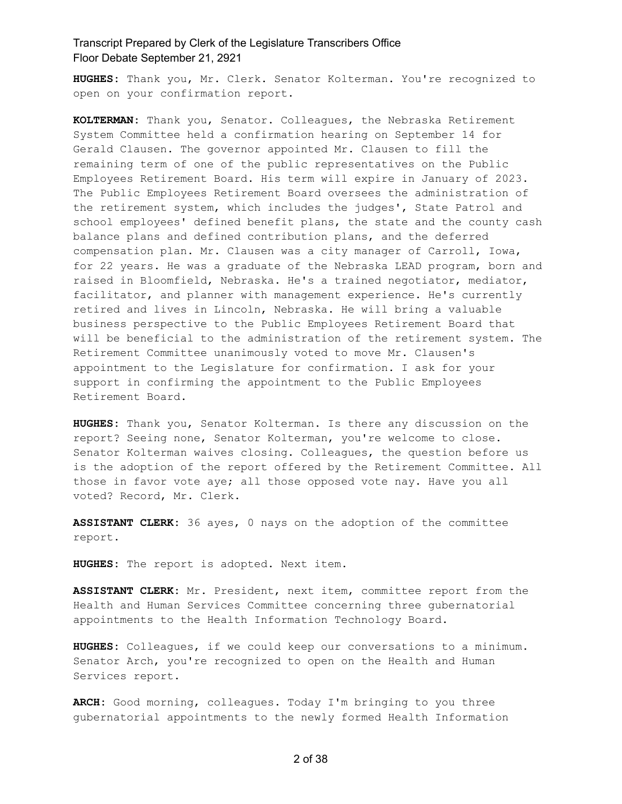**HUGHES:** Thank you, Mr. Clerk. Senator Kolterman. You're recognized to open on your confirmation report.

**KOLTERMAN:** Thank you, Senator. Colleagues, the Nebraska Retirement System Committee held a confirmation hearing on September 14 for Gerald Clausen. The governor appointed Mr. Clausen to fill the remaining term of one of the public representatives on the Public Employees Retirement Board. His term will expire in January of 2023. The Public Employees Retirement Board oversees the administration of the retirement system, which includes the judges', State Patrol and school employees' defined benefit plans, the state and the county cash balance plans and defined contribution plans, and the deferred compensation plan. Mr. Clausen was a city manager of Carroll, Iowa, for 22 years. He was a graduate of the Nebraska LEAD program, born and raised in Bloomfield, Nebraska. He's a trained negotiator, mediator, facilitator, and planner with management experience. He's currently retired and lives in Lincoln, Nebraska. He will bring a valuable business perspective to the Public Employees Retirement Board that will be beneficial to the administration of the retirement system. The Retirement Committee unanimously voted to move Mr. Clausen's appointment to the Legislature for confirmation. I ask for your support in confirming the appointment to the Public Employees Retirement Board.

**HUGHES:** Thank you, Senator Kolterman. Is there any discussion on the report? Seeing none, Senator Kolterman, you're welcome to close. Senator Kolterman waives closing. Colleagues, the question before us is the adoption of the report offered by the Retirement Committee. All those in favor vote aye; all those opposed vote nay. Have you all voted? Record, Mr. Clerk.

**ASSISTANT CLERK:** 36 ayes, 0 nays on the adoption of the committee report.

**HUGHES:** The report is adopted. Next item.

**ASSISTANT CLERK:** Mr. President, next item, committee report from the Health and Human Services Committee concerning three gubernatorial appointments to the Health Information Technology Board.

**HUGHES:** Colleagues, if we could keep our conversations to a minimum. Senator Arch, you're recognized to open on the Health and Human Services report.

**ARCH:** Good morning, colleagues. Today I'm bringing to you three gubernatorial appointments to the newly formed Health Information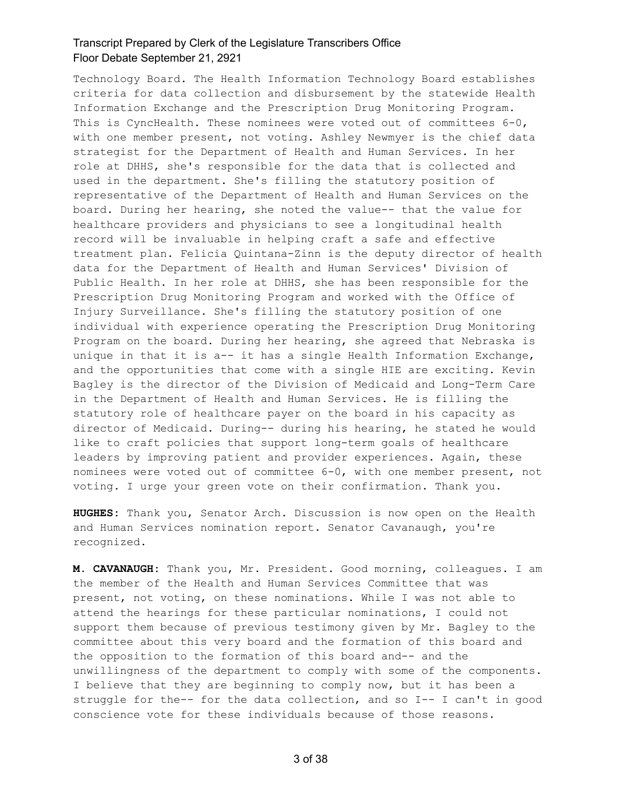Technology Board. The Health Information Technology Board establishes criteria for data collection and disbursement by the statewide Health Information Exchange and the Prescription Drug Monitoring Program. This is CyncHealth. These nominees were voted out of committees 6-0, with one member present, not voting. Ashley Newmyer is the chief data strategist for the Department of Health and Human Services. In her role at DHHS, she's responsible for the data that is collected and used in the department. She's filling the statutory position of representative of the Department of Health and Human Services on the board. During her hearing, she noted the value-- that the value for healthcare providers and physicians to see a longitudinal health record will be invaluable in helping craft a safe and effective treatment plan. Felicia Quintana-Zinn is the deputy director of health data for the Department of Health and Human Services' Division of Public Health. In her role at DHHS, she has been responsible for the Prescription Drug Monitoring Program and worked with the Office of Injury Surveillance. She's filling the statutory position of one individual with experience operating the Prescription Drug Monitoring Program on the board. During her hearing, she agreed that Nebraska is unique in that it is a-- it has a single Health Information Exchange, and the opportunities that come with a single HIE are exciting. Kevin Bagley is the director of the Division of Medicaid and Long-Term Care in the Department of Health and Human Services. He is filling the statutory role of healthcare payer on the board in his capacity as director of Medicaid. During-- during his hearing, he stated he would like to craft policies that support long-term goals of healthcare leaders by improving patient and provider experiences. Again, these nominees were voted out of committee 6-0, with one member present, not voting. I urge your green vote on their confirmation. Thank you.

**HUGHES:** Thank you, Senator Arch. Discussion is now open on the Health and Human Services nomination report. Senator Cavanaugh, you're recognized.

**M. CAVANAUGH:** Thank you, Mr. President. Good morning, colleagues. I am the member of the Health and Human Services Committee that was present, not voting, on these nominations. While I was not able to attend the hearings for these particular nominations, I could not support them because of previous testimony given by Mr. Bagley to the committee about this very board and the formation of this board and the opposition to the formation of this board and-- and the unwillingness of the department to comply with some of the components. I believe that they are beginning to comply now, but it has been a struggle for the-- for the data collection, and so I-- I can't in good conscience vote for these individuals because of those reasons.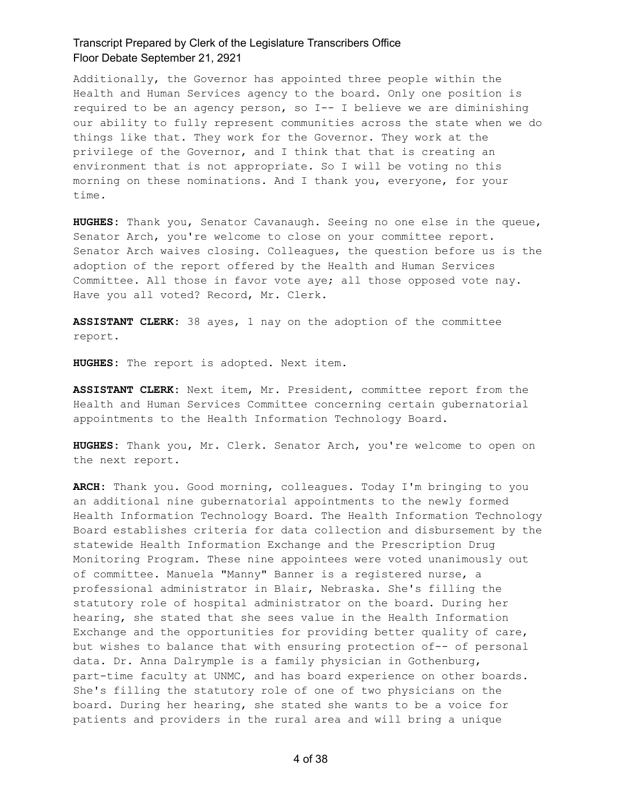Additionally, the Governor has appointed three people within the Health and Human Services agency to the board. Only one position is required to be an agency person, so I-- I believe we are diminishing our ability to fully represent communities across the state when we do things like that. They work for the Governor. They work at the privilege of the Governor, and I think that that is creating an environment that is not appropriate. So I will be voting no this morning on these nominations. And I thank you, everyone, for your time.

**HUGHES:** Thank you, Senator Cavanaugh. Seeing no one else in the queue, Senator Arch, you're welcome to close on your committee report. Senator Arch waives closing. Colleagues, the question before us is the adoption of the report offered by the Health and Human Services Committee. All those in favor vote aye; all those opposed vote nay. Have you all voted? Record, Mr. Clerk.

**ASSISTANT CLERK:** 38 ayes, 1 nay on the adoption of the committee report.

**HUGHES:** The report is adopted. Next item.

**ASSISTANT CLERK:** Next item, Mr. President, committee report from the Health and Human Services Committee concerning certain gubernatorial appointments to the Health Information Technology Board.

**HUGHES:** Thank you, Mr. Clerk. Senator Arch, you're welcome to open on the next report.

**ARCH:** Thank you. Good morning, colleagues. Today I'm bringing to you an additional nine gubernatorial appointments to the newly formed Health Information Technology Board. The Health Information Technology Board establishes criteria for data collection and disbursement by the statewide Health Information Exchange and the Prescription Drug Monitoring Program. These nine appointees were voted unanimously out of committee. Manuela "Manny" Banner is a registered nurse, a professional administrator in Blair, Nebraska. She's filling the statutory role of hospital administrator on the board. During her hearing, she stated that she sees value in the Health Information Exchange and the opportunities for providing better quality of care, but wishes to balance that with ensuring protection of-- of personal data. Dr. Anna Dalrymple is a family physician in Gothenburg, part-time faculty at UNMC, and has board experience on other boards. She's filling the statutory role of one of two physicians on the board. During her hearing, she stated she wants to be a voice for patients and providers in the rural area and will bring a unique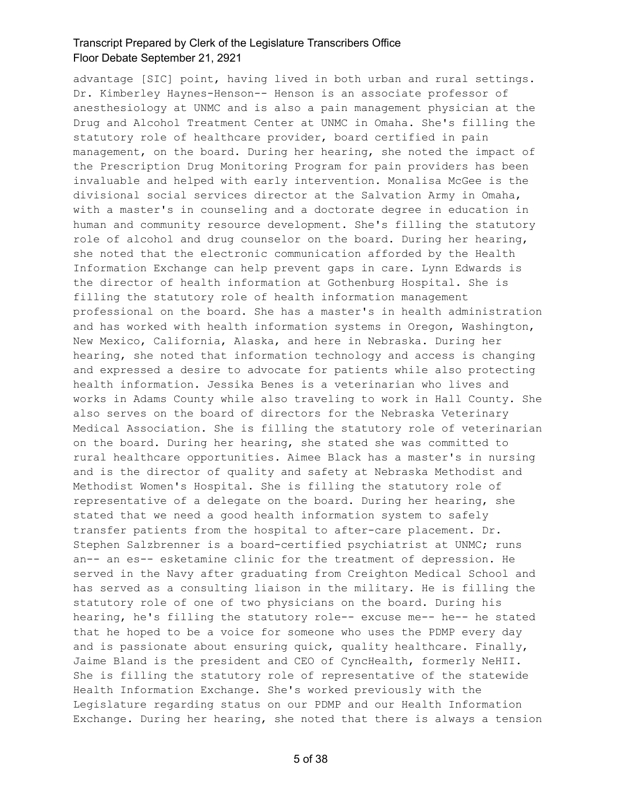advantage [SIC] point, having lived in both urban and rural settings. Dr. Kimberley Haynes-Henson-- Henson is an associate professor of anesthesiology at UNMC and is also a pain management physician at the Drug and Alcohol Treatment Center at UNMC in Omaha. She's filling the statutory role of healthcare provider, board certified in pain management, on the board. During her hearing, she noted the impact of the Prescription Drug Monitoring Program for pain providers has been invaluable and helped with early intervention. Monalisa McGee is the divisional social services director at the Salvation Army in Omaha, with a master's in counseling and a doctorate degree in education in human and community resource development. She's filling the statutory role of alcohol and drug counselor on the board. During her hearing, she noted that the electronic communication afforded by the Health Information Exchange can help prevent gaps in care. Lynn Edwards is the director of health information at Gothenburg Hospital. She is filling the statutory role of health information management professional on the board. She has a master's in health administration and has worked with health information systems in Oregon, Washington, New Mexico, California, Alaska, and here in Nebraska. During her hearing, she noted that information technology and access is changing and expressed a desire to advocate for patients while also protecting health information. Jessika Benes is a veterinarian who lives and works in Adams County while also traveling to work in Hall County. She also serves on the board of directors for the Nebraska Veterinary Medical Association. She is filling the statutory role of veterinarian on the board. During her hearing, she stated she was committed to rural healthcare opportunities. Aimee Black has a master's in nursing and is the director of quality and safety at Nebraska Methodist and Methodist Women's Hospital. She is filling the statutory role of representative of a delegate on the board. During her hearing, she stated that we need a good health information system to safely transfer patients from the hospital to after-care placement. Dr. Stephen Salzbrenner is a board-certified psychiatrist at UNMC; runs an-- an es-- esketamine clinic for the treatment of depression. He served in the Navy after graduating from Creighton Medical School and has served as a consulting liaison in the military. He is filling the statutory role of one of two physicians on the board. During his hearing, he's filling the statutory role-- excuse me-- he-- he stated that he hoped to be a voice for someone who uses the PDMP every day and is passionate about ensuring quick, quality healthcare. Finally, Jaime Bland is the president and CEO of CyncHealth, formerly NeHII. She is filling the statutory role of representative of the statewide Health Information Exchange. She's worked previously with the Legislature regarding status on our PDMP and our Health Information Exchange. During her hearing, she noted that there is always a tension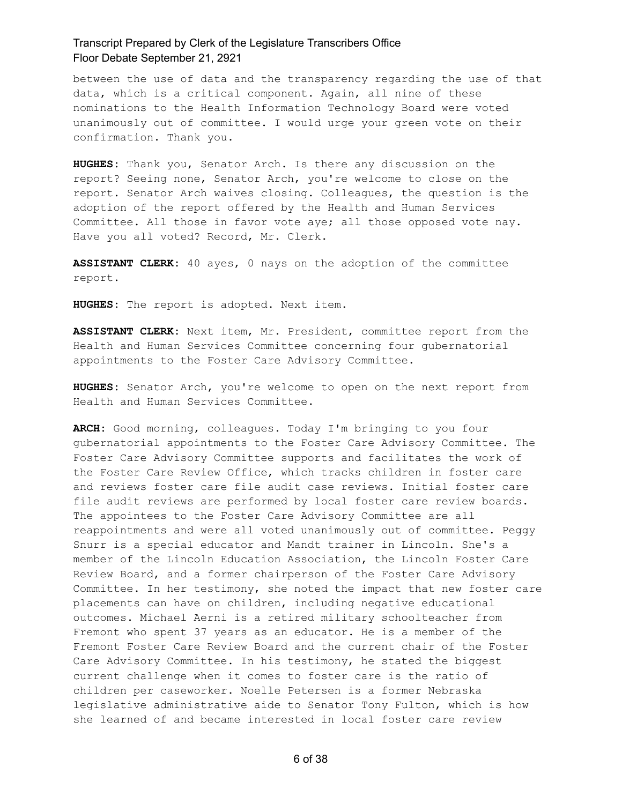between the use of data and the transparency regarding the use of that data, which is a critical component. Again, all nine of these nominations to the Health Information Technology Board were voted unanimously out of committee. I would urge your green vote on their confirmation. Thank you.

**HUGHES:** Thank you, Senator Arch. Is there any discussion on the report? Seeing none, Senator Arch, you're welcome to close on the report. Senator Arch waives closing. Colleagues, the question is the adoption of the report offered by the Health and Human Services Committee. All those in favor vote aye; all those opposed vote nay. Have you all voted? Record, Mr. Clerk.

**ASSISTANT CLERK:** 40 ayes, 0 nays on the adoption of the committee report.

**HUGHES:** The report is adopted. Next item.

**ASSISTANT CLERK:** Next item, Mr. President, committee report from the Health and Human Services Committee concerning four gubernatorial appointments to the Foster Care Advisory Committee.

**HUGHES:** Senator Arch, you're welcome to open on the next report from Health and Human Services Committee.

**ARCH:** Good morning, colleagues. Today I'm bringing to you four gubernatorial appointments to the Foster Care Advisory Committee. The Foster Care Advisory Committee supports and facilitates the work of the Foster Care Review Office, which tracks children in foster care and reviews foster care file audit case reviews. Initial foster care file audit reviews are performed by local foster care review boards. The appointees to the Foster Care Advisory Committee are all reappointments and were all voted unanimously out of committee. Peggy Snurr is a special educator and Mandt trainer in Lincoln. She's a member of the Lincoln Education Association, the Lincoln Foster Care Review Board, and a former chairperson of the Foster Care Advisory Committee. In her testimony, she noted the impact that new foster care placements can have on children, including negative educational outcomes. Michael Aerni is a retired military schoolteacher from Fremont who spent 37 years as an educator. He is a member of the Fremont Foster Care Review Board and the current chair of the Foster Care Advisory Committee. In his testimony, he stated the biggest current challenge when it comes to foster care is the ratio of children per caseworker. Noelle Petersen is a former Nebraska legislative administrative aide to Senator Tony Fulton, which is how she learned of and became interested in local foster care review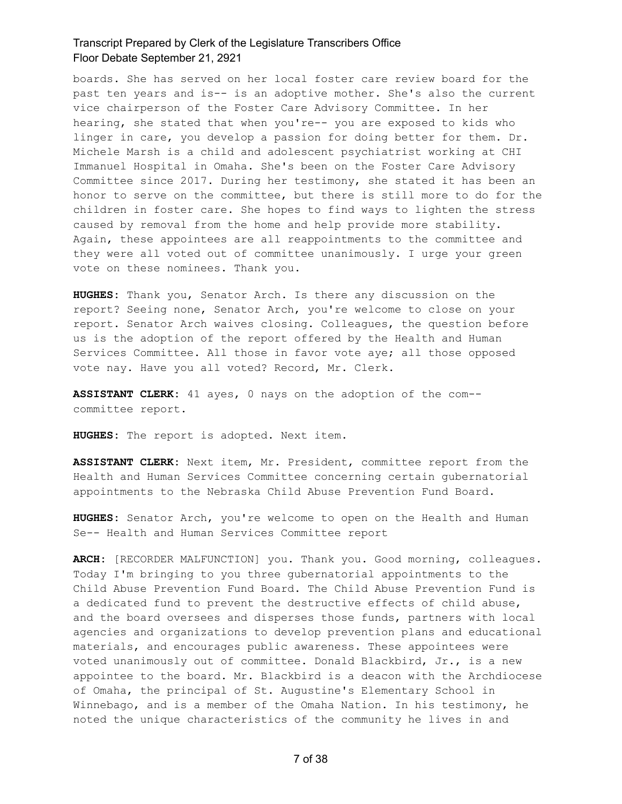boards. She has served on her local foster care review board for the past ten years and is-- is an adoptive mother. She's also the current vice chairperson of the Foster Care Advisory Committee. In her hearing, she stated that when you're-- you are exposed to kids who linger in care, you develop a passion for doing better for them. Dr. Michele Marsh is a child and adolescent psychiatrist working at CHI Immanuel Hospital in Omaha. She's been on the Foster Care Advisory Committee since 2017. During her testimony, she stated it has been an honor to serve on the committee, but there is still more to do for the children in foster care. She hopes to find ways to lighten the stress caused by removal from the home and help provide more stability. Again, these appointees are all reappointments to the committee and they were all voted out of committee unanimously. I urge your green vote on these nominees. Thank you.

**HUGHES:** Thank you, Senator Arch. Is there any discussion on the report? Seeing none, Senator Arch, you're welcome to close on your report. Senator Arch waives closing. Colleagues, the question before us is the adoption of the report offered by the Health and Human Services Committee. All those in favor vote aye; all those opposed vote nay. Have you all voted? Record, Mr. Clerk.

**ASSISTANT CLERK:** 41 ayes, 0 nays on the adoption of the com- committee report.

**HUGHES:** The report is adopted. Next item.

**ASSISTANT CLERK:** Next item, Mr. President, committee report from the Health and Human Services Committee concerning certain gubernatorial appointments to the Nebraska Child Abuse Prevention Fund Board.

**HUGHES:** Senator Arch, you're welcome to open on the Health and Human Se-- Health and Human Services Committee report

**ARCH:** [RECORDER MALFUNCTION] you. Thank you. Good morning, colleagues. Today I'm bringing to you three gubernatorial appointments to the Child Abuse Prevention Fund Board. The Child Abuse Prevention Fund is a dedicated fund to prevent the destructive effects of child abuse, and the board oversees and disperses those funds, partners with local agencies and organizations to develop prevention plans and educational materials, and encourages public awareness. These appointees were voted unanimously out of committee. Donald Blackbird, Jr., is a new appointee to the board. Mr. Blackbird is a deacon with the Archdiocese of Omaha, the principal of St. Augustine's Elementary School in Winnebago, and is a member of the Omaha Nation. In his testimony, he noted the unique characteristics of the community he lives in and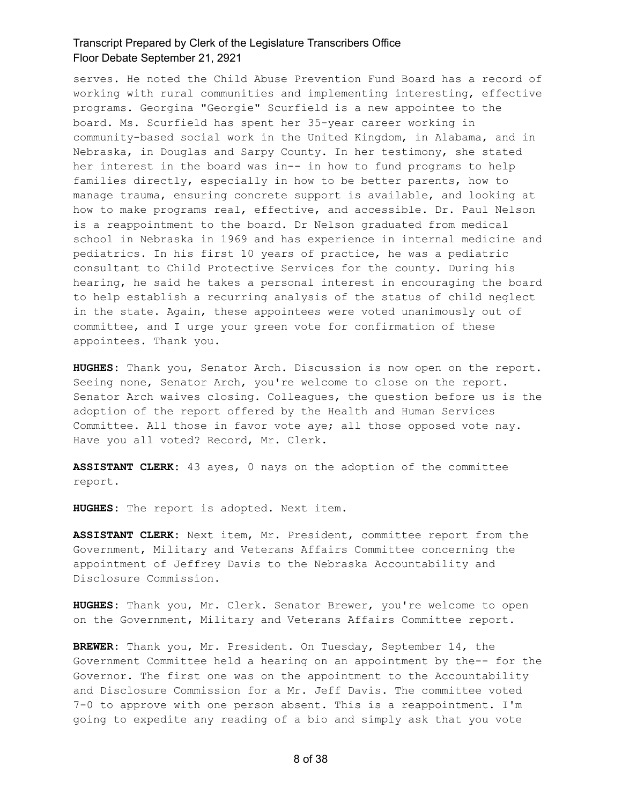serves. He noted the Child Abuse Prevention Fund Board has a record of working with rural communities and implementing interesting, effective programs. Georgina "Georgie" Scurfield is a new appointee to the board. Ms. Scurfield has spent her 35-year career working in community-based social work in the United Kingdom, in Alabama, and in Nebraska, in Douglas and Sarpy County. In her testimony, she stated her interest in the board was in-- in how to fund programs to help families directly, especially in how to be better parents, how to manage trauma, ensuring concrete support is available, and looking at how to make programs real, effective, and accessible. Dr. Paul Nelson is a reappointment to the board. Dr Nelson graduated from medical school in Nebraska in 1969 and has experience in internal medicine and pediatrics. In his first 10 years of practice, he was a pediatric consultant to Child Protective Services for the county. During his hearing, he said he takes a personal interest in encouraging the board to help establish a recurring analysis of the status of child neglect in the state. Again, these appointees were voted unanimously out of committee, and I urge your green vote for confirmation of these appointees. Thank you.

**HUGHES:** Thank you, Senator Arch. Discussion is now open on the report. Seeing none, Senator Arch, you're welcome to close on the report. Senator Arch waives closing. Colleagues, the question before us is the adoption of the report offered by the Health and Human Services Committee. All those in favor vote aye; all those opposed vote nay. Have you all voted? Record, Mr. Clerk.

**ASSISTANT CLERK:** 43 ayes, 0 nays on the adoption of the committee report.

**HUGHES:** The report is adopted. Next item.

**ASSISTANT CLERK:** Next item, Mr. President, committee report from the Government, Military and Veterans Affairs Committee concerning the appointment of Jeffrey Davis to the Nebraska Accountability and Disclosure Commission.

**HUGHES:** Thank you, Mr. Clerk. Senator Brewer, you're welcome to open on the Government, Military and Veterans Affairs Committee report.

**BREWER:** Thank you, Mr. President. On Tuesday, September 14, the Government Committee held a hearing on an appointment by the-- for the Governor. The first one was on the appointment to the Accountability and Disclosure Commission for a Mr. Jeff Davis. The committee voted 7-0 to approve with one person absent. This is a reappointment. I'm going to expedite any reading of a bio and simply ask that you vote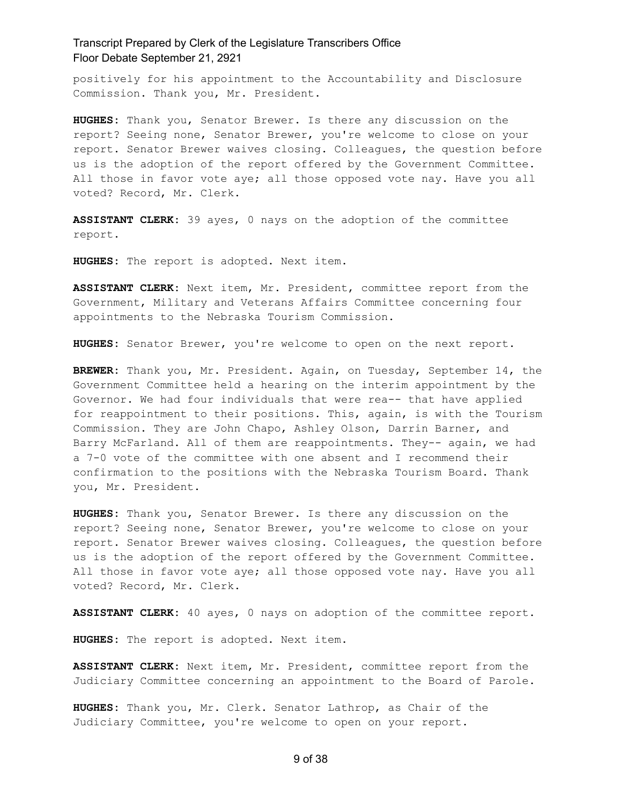positively for his appointment to the Accountability and Disclosure Commission. Thank you, Mr. President.

**HUGHES:** Thank you, Senator Brewer. Is there any discussion on the report? Seeing none, Senator Brewer, you're welcome to close on your report. Senator Brewer waives closing. Colleagues, the question before us is the adoption of the report offered by the Government Committee. All those in favor vote aye; all those opposed vote nay. Have you all voted? Record, Mr. Clerk.

**ASSISTANT CLERK:** 39 ayes, 0 nays on the adoption of the committee report.

**HUGHES:** The report is adopted. Next item.

**ASSISTANT CLERK:** Next item, Mr. President, committee report from the Government, Military and Veterans Affairs Committee concerning four appointments to the Nebraska Tourism Commission.

**HUGHES:** Senator Brewer, you're welcome to open on the next report.

**BREWER:** Thank you, Mr. President. Again, on Tuesday, September 14, the Government Committee held a hearing on the interim appointment by the Governor. We had four individuals that were rea-- that have applied for reappointment to their positions. This, again, is with the Tourism Commission. They are John Chapo, Ashley Olson, Darrin Barner, and Barry McFarland. All of them are reappointments. They-- again, we had a 7-0 vote of the committee with one absent and I recommend their confirmation to the positions with the Nebraska Tourism Board. Thank you, Mr. President.

**HUGHES:** Thank you, Senator Brewer. Is there any discussion on the report? Seeing none, Senator Brewer, you're welcome to close on your report. Senator Brewer waives closing. Colleagues, the question before us is the adoption of the report offered by the Government Committee. All those in favor vote aye; all those opposed vote nay. Have you all voted? Record, Mr. Clerk.

**ASSISTANT CLERK:** 40 ayes, 0 nays on adoption of the committee report.

**HUGHES:** The report is adopted. Next item.

**ASSISTANT CLERK:** Next item, Mr. President, committee report from the Judiciary Committee concerning an appointment to the Board of Parole.

**HUGHES:** Thank you, Mr. Clerk. Senator Lathrop, as Chair of the Judiciary Committee, you're welcome to open on your report.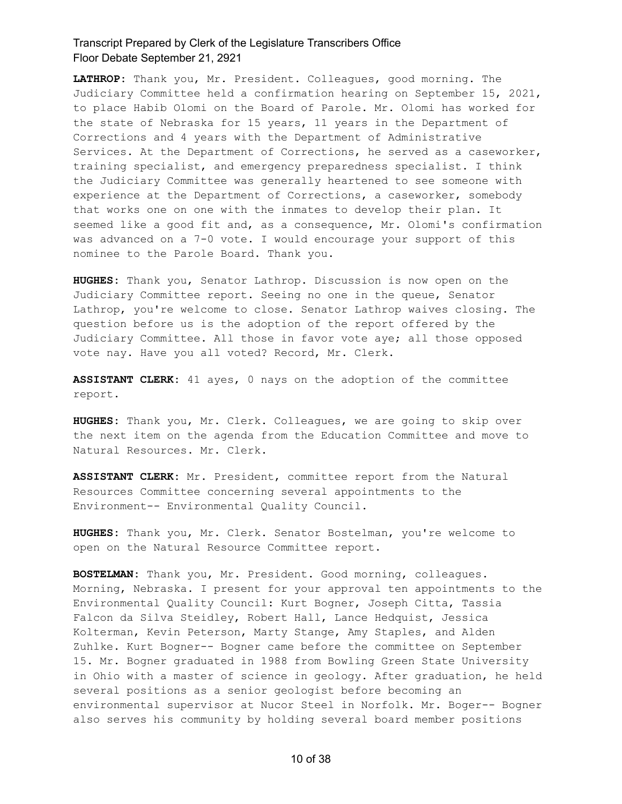**LATHROP:** Thank you, Mr. President. Colleagues, good morning. The Judiciary Committee held a confirmation hearing on September 15, 2021, to place Habib Olomi on the Board of Parole. Mr. Olomi has worked for the state of Nebraska for 15 years, 11 years in the Department of Corrections and 4 years with the Department of Administrative Services. At the Department of Corrections, he served as a caseworker, training specialist, and emergency preparedness specialist. I think the Judiciary Committee was generally heartened to see someone with experience at the Department of Corrections, a caseworker, somebody that works one on one with the inmates to develop their plan. It seemed like a good fit and, as a consequence, Mr. Olomi's confirmation was advanced on a 7-0 vote. I would encourage your support of this nominee to the Parole Board. Thank you.

**HUGHES:** Thank you, Senator Lathrop. Discussion is now open on the Judiciary Committee report. Seeing no one in the queue, Senator Lathrop, you're welcome to close. Senator Lathrop waives closing. The question before us is the adoption of the report offered by the Judiciary Committee. All those in favor vote aye; all those opposed vote nay. Have you all voted? Record, Mr. Clerk.

**ASSISTANT CLERK:** 41 ayes, 0 nays on the adoption of the committee report.

**HUGHES:** Thank you, Mr. Clerk. Colleagues, we are going to skip over the next item on the agenda from the Education Committee and move to Natural Resources. Mr. Clerk.

**ASSISTANT CLERK:** Mr. President, committee report from the Natural Resources Committee concerning several appointments to the Environment-- Environmental Quality Council.

**HUGHES:** Thank you, Mr. Clerk. Senator Bostelman, you're welcome to open on the Natural Resource Committee report.

**BOSTELMAN:** Thank you, Mr. President. Good morning, colleagues. Morning, Nebraska. I present for your approval ten appointments to the Environmental Quality Council: Kurt Bogner, Joseph Citta, Tassia Falcon da Silva Steidley, Robert Hall, Lance Hedquist, Jessica Kolterman, Kevin Peterson, Marty Stange, Amy Staples, and Alden Zuhlke. Kurt Bogner-- Bogner came before the committee on September 15. Mr. Bogner graduated in 1988 from Bowling Green State University in Ohio with a master of science in geology. After graduation, he held several positions as a senior geologist before becoming an environmental supervisor at Nucor Steel in Norfolk. Mr. Boger-- Bogner also serves his community by holding several board member positions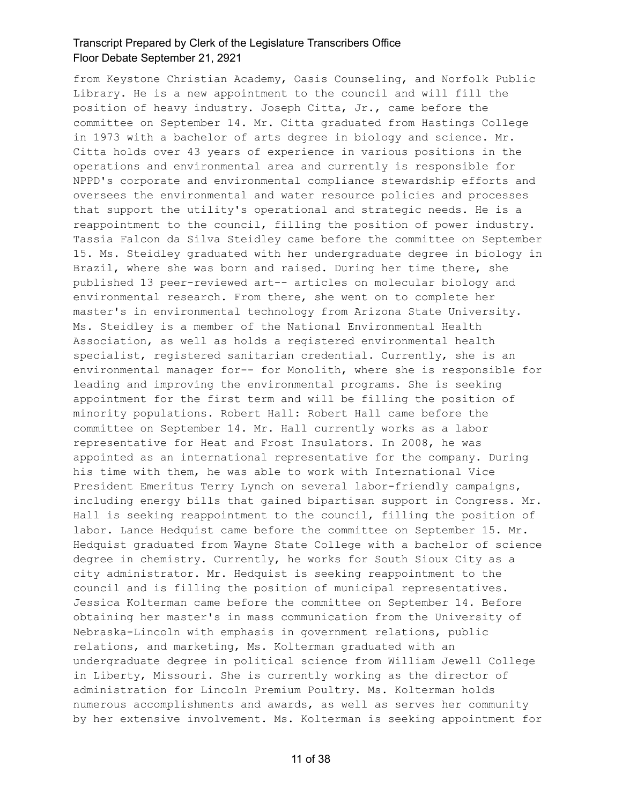from Keystone Christian Academy, Oasis Counseling, and Norfolk Public Library. He is a new appointment to the council and will fill the position of heavy industry. Joseph Citta, Jr., came before the committee on September 14. Mr. Citta graduated from Hastings College in 1973 with a bachelor of arts degree in biology and science. Mr. Citta holds over 43 years of experience in various positions in the operations and environmental area and currently is responsible for NPPD's corporate and environmental compliance stewardship efforts and oversees the environmental and water resource policies and processes that support the utility's operational and strategic needs. He is a reappointment to the council, filling the position of power industry. Tassia Falcon da Silva Steidley came before the committee on September 15. Ms. Steidley graduated with her undergraduate degree in biology in Brazil, where she was born and raised. During her time there, she published 13 peer-reviewed art-- articles on molecular biology and environmental research. From there, she went on to complete her master's in environmental technology from Arizona State University. Ms. Steidley is a member of the National Environmental Health Association, as well as holds a registered environmental health specialist, registered sanitarian credential. Currently, she is an environmental manager for-- for Monolith, where she is responsible for leading and improving the environmental programs. She is seeking appointment for the first term and will be filling the position of minority populations. Robert Hall: Robert Hall came before the committee on September 14. Mr. Hall currently works as a labor representative for Heat and Frost Insulators. In 2008, he was appointed as an international representative for the company. During his time with them, he was able to work with International Vice President Emeritus Terry Lynch on several labor-friendly campaigns, including energy bills that gained bipartisan support in Congress. Mr. Hall is seeking reappointment to the council, filling the position of labor. Lance Hedquist came before the committee on September 15. Mr. Hedquist graduated from Wayne State College with a bachelor of science degree in chemistry. Currently, he works for South Sioux City as a city administrator. Mr. Hedquist is seeking reappointment to the council and is filling the position of municipal representatives. Jessica Kolterman came before the committee on September 14. Before obtaining her master's in mass communication from the University of Nebraska-Lincoln with emphasis in government relations, public relations, and marketing, Ms. Kolterman graduated with an undergraduate degree in political science from William Jewell College in Liberty, Missouri. She is currently working as the director of administration for Lincoln Premium Poultry. Ms. Kolterman holds numerous accomplishments and awards, as well as serves her community by her extensive involvement. Ms. Kolterman is seeking appointment for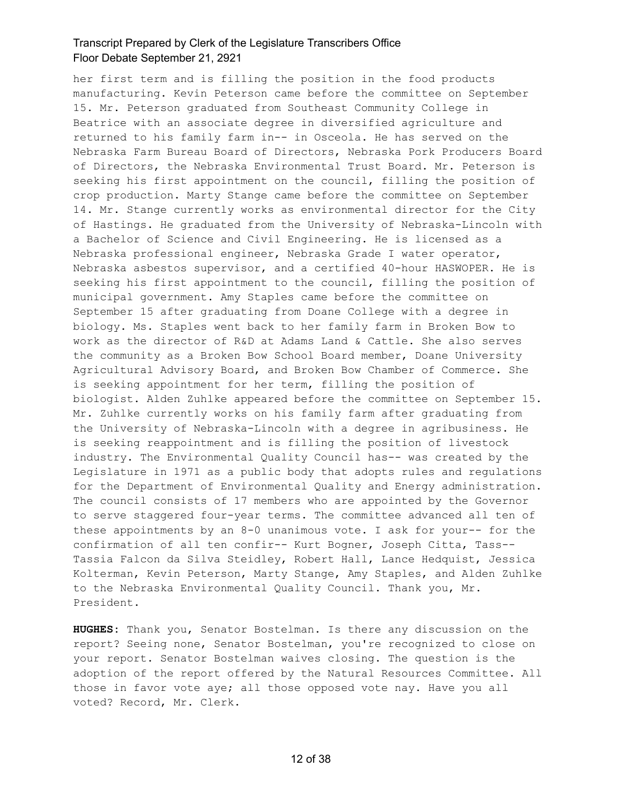her first term and is filling the position in the food products manufacturing. Kevin Peterson came before the committee on September 15. Mr. Peterson graduated from Southeast Community College in Beatrice with an associate degree in diversified agriculture and returned to his family farm in-- in Osceola. He has served on the Nebraska Farm Bureau Board of Directors, Nebraska Pork Producers Board of Directors, the Nebraska Environmental Trust Board. Mr. Peterson is seeking his first appointment on the council, filling the position of crop production. Marty Stange came before the committee on September 14. Mr. Stange currently works as environmental director for the City of Hastings. He graduated from the University of Nebraska-Lincoln with a Bachelor of Science and Civil Engineering. He is licensed as a Nebraska professional engineer, Nebraska Grade I water operator, Nebraska asbestos supervisor, and a certified 40-hour HASWOPER. He is seeking his first appointment to the council, filling the position of municipal government. Amy Staples came before the committee on September 15 after graduating from Doane College with a degree in biology. Ms. Staples went back to her family farm in Broken Bow to work as the director of R&D at Adams Land & Cattle. She also serves the community as a Broken Bow School Board member, Doane University Agricultural Advisory Board, and Broken Bow Chamber of Commerce. She is seeking appointment for her term, filling the position of biologist. Alden Zuhlke appeared before the committee on September 15. Mr. Zuhlke currently works on his family farm after graduating from the University of Nebraska-Lincoln with a degree in agribusiness. He is seeking reappointment and is filling the position of livestock industry. The Environmental Quality Council has-- was created by the Legislature in 1971 as a public body that adopts rules and regulations for the Department of Environmental Quality and Energy administration. The council consists of 17 members who are appointed by the Governor to serve staggered four-year terms. The committee advanced all ten of these appointments by an 8-0 unanimous vote. I ask for your-- for the confirmation of all ten confir-- Kurt Bogner, Joseph Citta, Tass-- Tassia Falcon da Silva Steidley, Robert Hall, Lance Hedquist, Jessica Kolterman, Kevin Peterson, Marty Stange, Amy Staples, and Alden Zuhlke to the Nebraska Environmental Quality Council. Thank you, Mr. President.

**HUGHES:** Thank you, Senator Bostelman. Is there any discussion on the report? Seeing none, Senator Bostelman, you're recognized to close on your report. Senator Bostelman waives closing. The question is the adoption of the report offered by the Natural Resources Committee. All those in favor vote aye; all those opposed vote nay. Have you all voted? Record, Mr. Clerk.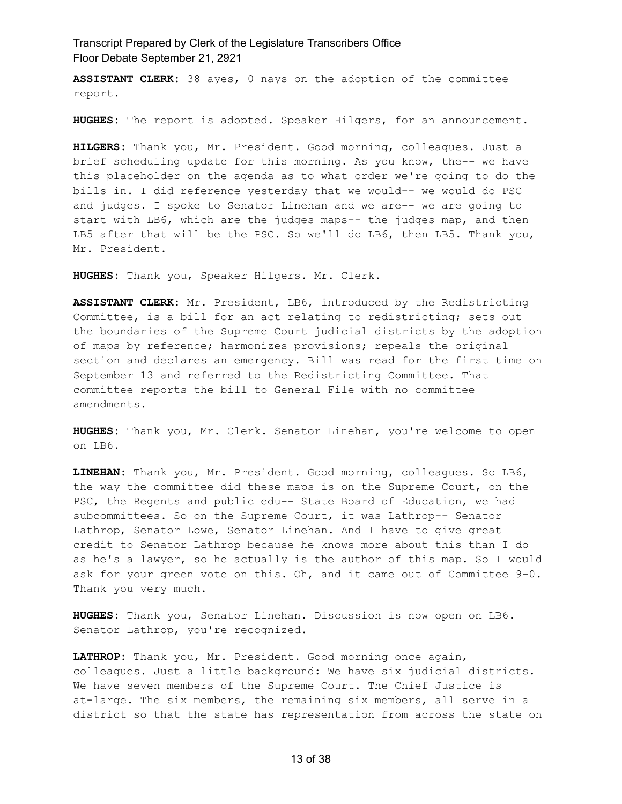**ASSISTANT CLERK:** 38 ayes, 0 nays on the adoption of the committee report.

**HUGHES:** The report is adopted. Speaker Hilgers, for an announcement.

**HILGERS:** Thank you, Mr. President. Good morning, colleagues. Just a brief scheduling update for this morning. As you know, the-- we have this placeholder on the agenda as to what order we're going to do the bills in. I did reference yesterday that we would-- we would do PSC and judges. I spoke to Senator Linehan and we are-- we are going to start with LB6, which are the judges maps-- the judges map, and then LB5 after that will be the PSC. So we'll do LB6, then LB5. Thank you, Mr. President.

**HUGHES:** Thank you, Speaker Hilgers. Mr. Clerk.

**ASSISTANT CLERK:** Mr. President, LB6, introduced by the Redistricting Committee, is a bill for an act relating to redistricting; sets out the boundaries of the Supreme Court judicial districts by the adoption of maps by reference; harmonizes provisions; repeals the original section and declares an emergency. Bill was read for the first time on September 13 and referred to the Redistricting Committee. That committee reports the bill to General File with no committee amendments.

**HUGHES:** Thank you, Mr. Clerk. Senator Linehan, you're welcome to open on LB6.

**LINEHAN:** Thank you, Mr. President. Good morning, colleagues. So LB6, the way the committee did these maps is on the Supreme Court, on the PSC, the Regents and public edu-- State Board of Education, we had subcommittees. So on the Supreme Court, it was Lathrop-- Senator Lathrop, Senator Lowe, Senator Linehan. And I have to give great credit to Senator Lathrop because he knows more about this than I do as he's a lawyer, so he actually is the author of this map. So I would ask for your green vote on this. Oh, and it came out of Committee 9-0. Thank you very much.

**HUGHES:** Thank you, Senator Linehan. Discussion is now open on LB6. Senator Lathrop, you're recognized.

**LATHROP:** Thank you, Mr. President. Good morning once again, colleagues. Just a little background: We have six judicial districts. We have seven members of the Supreme Court. The Chief Justice is at-large. The six members, the remaining six members, all serve in a district so that the state has representation from across the state on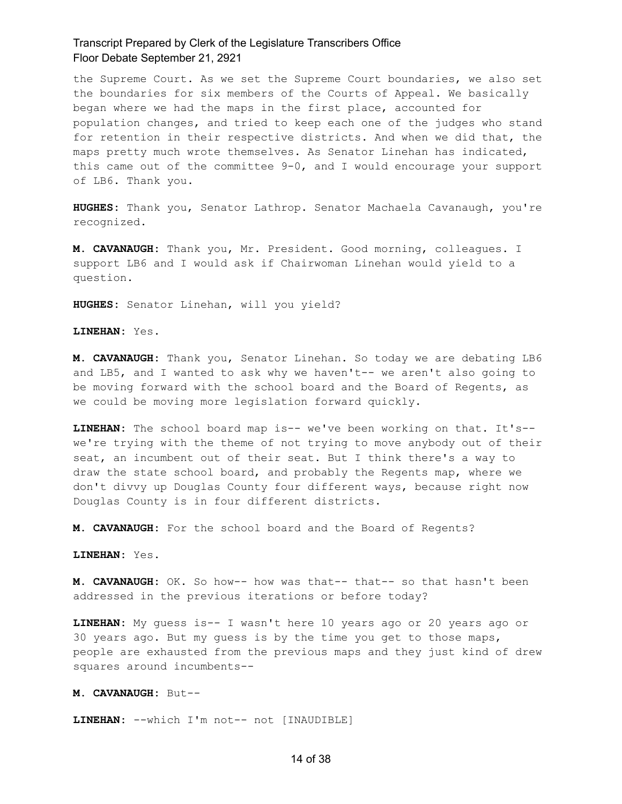the Supreme Court. As we set the Supreme Court boundaries, we also set the boundaries for six members of the Courts of Appeal. We basically began where we had the maps in the first place, accounted for population changes, and tried to keep each one of the judges who stand for retention in their respective districts. And when we did that, the maps pretty much wrote themselves. As Senator Linehan has indicated, this came out of the committee 9-0, and I would encourage your support of LB6. Thank you.

**HUGHES:** Thank you, Senator Lathrop. Senator Machaela Cavanaugh, you're recognized.

**M. CAVANAUGH:** Thank you, Mr. President. Good morning, colleagues. I support LB6 and I would ask if Chairwoman Linehan would yield to a question.

**HUGHES:** Senator Linehan, will you yield?

**LINEHAN:** Yes.

**M. CAVANAUGH:** Thank you, Senator Linehan. So today we are debating LB6 and LB5, and I wanted to ask why we haven't-- we aren't also going to be moving forward with the school board and the Board of Regents, as we could be moving more legislation forward quickly.

**LINEHAN:** The school board map is-- we've been working on that. It's- we're trying with the theme of not trying to move anybody out of their seat, an incumbent out of their seat. But I think there's a way to draw the state school board, and probably the Regents map, where we don't divvy up Douglas County four different ways, because right now Douglas County is in four different districts.

**M. CAVANAUGH:** For the school board and the Board of Regents?

**LINEHAN:** Yes.

**M. CAVANAUGH:** OK. So how-- how was that-- that-- so that hasn't been addressed in the previous iterations or before today?

**LINEHAN:** My guess is-- I wasn't here 10 years ago or 20 years ago or 30 years ago. But my guess is by the time you get to those maps, people are exhausted from the previous maps and they just kind of drew squares around incumbents--

**M. CAVANAUGH:** But--

**LINEHAN:** --which I'm not-- not [INAUDIBLE]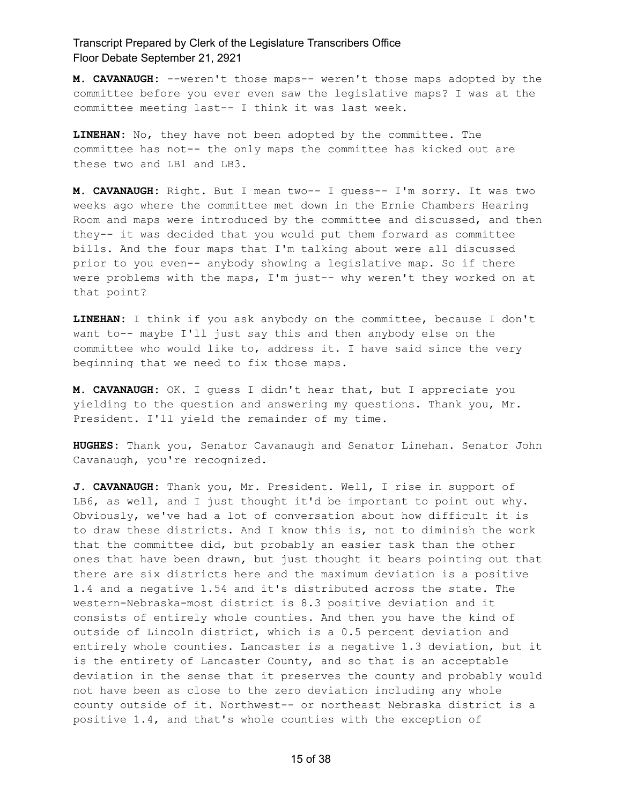**M. CAVANAUGH:** --weren't those maps-- weren't those maps adopted by the committee before you ever even saw the legislative maps? I was at the committee meeting last-- I think it was last week.

**LINEHAN:** No, they have not been adopted by the committee. The committee has not-- the only maps the committee has kicked out are these two and LB1 and LB3.

**M. CAVANAUGH:** Right. But I mean two-- I guess-- I'm sorry. It was two weeks ago where the committee met down in the Ernie Chambers Hearing Room and maps were introduced by the committee and discussed, and then they-- it was decided that you would put them forward as committee bills. And the four maps that I'm talking about were all discussed prior to you even-- anybody showing a legislative map. So if there were problems with the maps, I'm just-- why weren't they worked on at that point?

**LINEHAN:** I think if you ask anybody on the committee, because I don't want to-- maybe I'll just say this and then anybody else on the committee who would like to, address it. I have said since the very beginning that we need to fix those maps.

**M. CAVANAUGH:** OK. I guess I didn't hear that, but I appreciate you yielding to the question and answering my questions. Thank you, Mr. President. I'll yield the remainder of my time.

**HUGHES:** Thank you, Senator Cavanaugh and Senator Linehan. Senator John Cavanaugh, you're recognized.

**J. CAVANAUGH:** Thank you, Mr. President. Well, I rise in support of LB6, as well, and I just thought it'd be important to point out why. Obviously, we've had a lot of conversation about how difficult it is to draw these districts. And I know this is, not to diminish the work that the committee did, but probably an easier task than the other ones that have been drawn, but just thought it bears pointing out that there are six districts here and the maximum deviation is a positive 1.4 and a negative 1.54 and it's distributed across the state. The western-Nebraska-most district is 8.3 positive deviation and it consists of entirely whole counties. And then you have the kind of outside of Lincoln district, which is a 0.5 percent deviation and entirely whole counties. Lancaster is a negative 1.3 deviation, but it is the entirety of Lancaster County, and so that is an acceptable deviation in the sense that it preserves the county and probably would not have been as close to the zero deviation including any whole county outside of it. Northwest-- or northeast Nebraska district is a positive 1.4, and that's whole counties with the exception of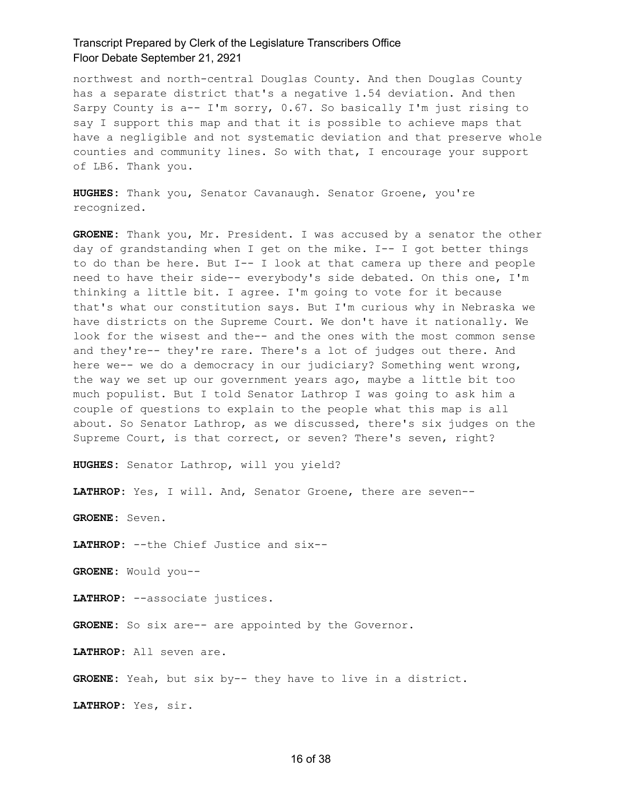northwest and north-central Douglas County. And then Douglas County has a separate district that's a negative 1.54 deviation. And then Sarpy County is a-- I'm sorry, 0.67. So basically I'm just rising to say I support this map and that it is possible to achieve maps that have a negligible and not systematic deviation and that preserve whole counties and community lines. So with that, I encourage your support of LB6. Thank you.

**HUGHES:** Thank you, Senator Cavanaugh. Senator Groene, you're recognized.

**GROENE:** Thank you, Mr. President. I was accused by a senator the other day of grandstanding when I get on the mike. I-- I got better things to do than be here. But I-- I look at that camera up there and people need to have their side-- everybody's side debated. On this one, I'm thinking a little bit. I agree. I'm going to vote for it because that's what our constitution says. But I'm curious why in Nebraska we have districts on the Supreme Court. We don't have it nationally. We look for the wisest and the-- and the ones with the most common sense and they're-- they're rare. There's a lot of judges out there. And here we-- we do a democracy in our judiciary? Something went wrong, the way we set up our government years ago, maybe a little bit too much populist. But I told Senator Lathrop I was going to ask him a couple of questions to explain to the people what this map is all about. So Senator Lathrop, as we discussed, there's six judges on the Supreme Court, is that correct, or seven? There's seven, right?

**HUGHES:** Senator Lathrop, will you yield?

**LATHROP:** Yes, I will. And, Senator Groene, there are seven--

**GROENE:** Seven.

**LATHROP:** --the Chief Justice and six--

**GROENE:** Would you--

**LATHROP:** --associate justices.

GROENE: So six are-- are appointed by the Governor.

**LATHROP:** All seven are.

**GROENE:** Yeah, but six by-- they have to live in a district.

**LATHROP:** Yes, sir.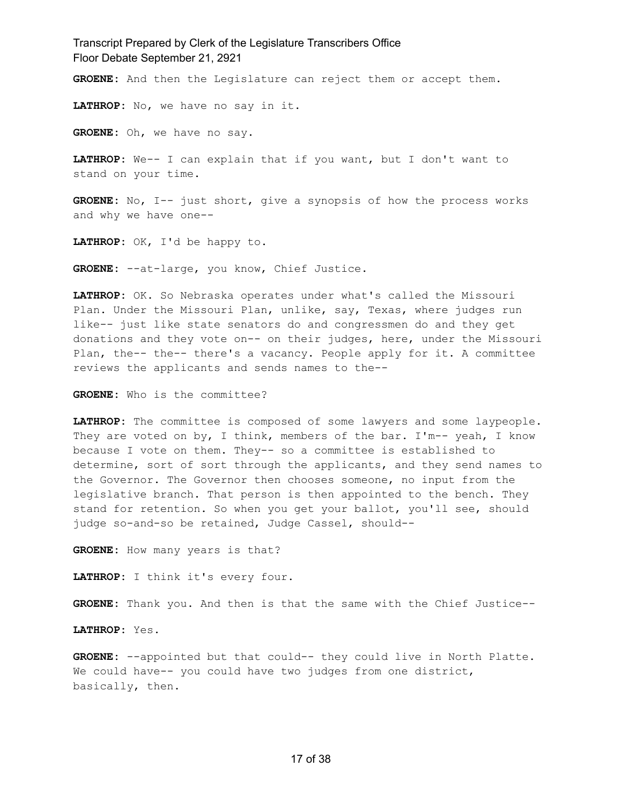**GROENE:** And then the Legislature can reject them or accept them.

**LATHROP:** No, we have no say in it.

**GROENE:** Oh, we have no say.

**LATHROP:** We-- I can explain that if you want, but I don't want to stand on your time.

**GROENE:** No, I-- just short, give a synopsis of how the process works and why we have one--

**LATHROP:** OK, I'd be happy to.

**GROENE:** --at-large, you know, Chief Justice.

**LATHROP:** OK. So Nebraska operates under what's called the Missouri Plan. Under the Missouri Plan, unlike, say, Texas, where judges run like-- just like state senators do and congressmen do and they get donations and they vote on-- on their judges, here, under the Missouri Plan, the-- the-- there's a vacancy. People apply for it. A committee reviews the applicants and sends names to the--

**GROENE:** Who is the committee?

**LATHROP:** The committee is composed of some lawyers and some laypeople. They are voted on by, I think, members of the bar. I'm-- yeah, I know because I vote on them. They-- so a committee is established to determine, sort of sort through the applicants, and they send names to the Governor. The Governor then chooses someone, no input from the legislative branch. That person is then appointed to the bench. They stand for retention. So when you get your ballot, you'll see, should judge so-and-so be retained, Judge Cassel, should--

**GROENE:** How many years is that?

**LATHROP:** I think it's every four.

**GROENE:** Thank you. And then is that the same with the Chief Justice--

**LATHROP:** Yes.

**GROENE:** --appointed but that could-- they could live in North Platte. We could have-- you could have two judges from one district, basically, then.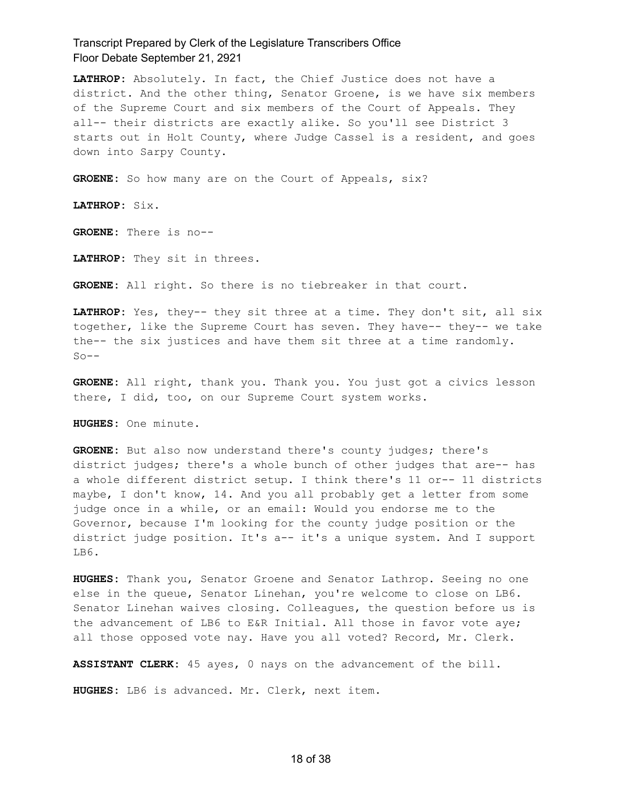**LATHROP:** Absolutely. In fact, the Chief Justice does not have a district. And the other thing, Senator Groene, is we have six members of the Supreme Court and six members of the Court of Appeals. They all-- their districts are exactly alike. So you'll see District 3 starts out in Holt County, where Judge Cassel is a resident, and goes down into Sarpy County.

GROENE: So how many are on the Court of Appeals, six?

**LATHROP:** Six.

**GROENE:** There is no--

**LATHROP:** They sit in threes.

**GROENE:** All right. So there is no tiebreaker in that court.

**LATHROP:** Yes, they-- they sit three at a time. They don't sit, all six together, like the Supreme Court has seven. They have-- they-- we take the-- the six justices and have them sit three at a time randomly.  $S_0$  – –

**GROENE:** All right, thank you. Thank you. You just got a civics lesson there, I did, too, on our Supreme Court system works.

**HUGHES:** One minute.

**GROENE:** But also now understand there's county judges; there's district judges; there's a whole bunch of other judges that are-- has a whole different district setup. I think there's 11 or-- 11 districts maybe, I don't know, 14. And you all probably get a letter from some judge once in a while, or an email: Would you endorse me to the Governor, because I'm looking for the county judge position or the district judge position. It's a-- it's a unique system. And I support LB6.

**HUGHES:** Thank you, Senator Groene and Senator Lathrop. Seeing no one else in the queue, Senator Linehan, you're welcome to close on LB6. Senator Linehan waives closing. Colleagues, the question before us is the advancement of LB6 to E&R Initial. All those in favor vote aye; all those opposed vote nay. Have you all voted? Record, Mr. Clerk.

**ASSISTANT CLERK:** 45 ayes, 0 nays on the advancement of the bill.

**HUGHES:** LB6 is advanced. Mr. Clerk, next item.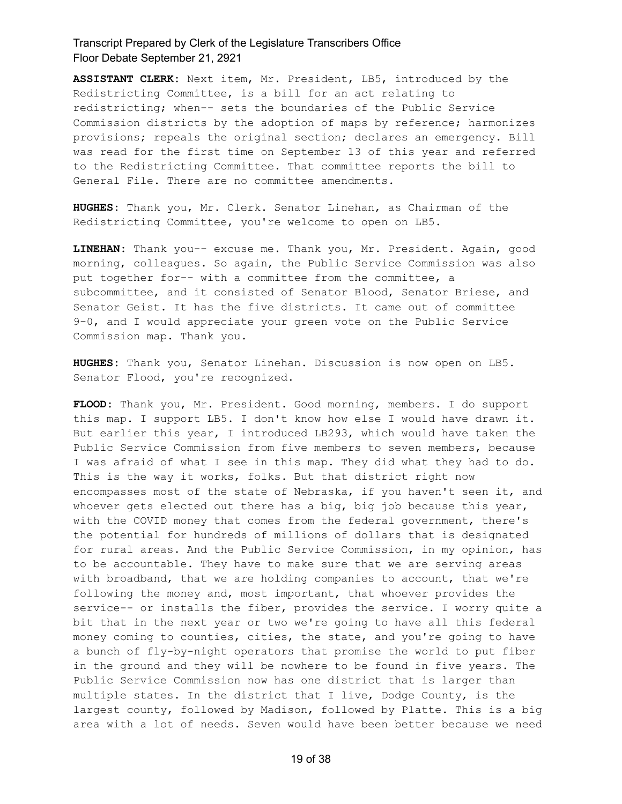**ASSISTANT CLERK:** Next item, Mr. President, LB5, introduced by the Redistricting Committee, is a bill for an act relating to redistricting; when-- sets the boundaries of the Public Service Commission districts by the adoption of maps by reference; harmonizes provisions; repeals the original section; declares an emergency. Bill was read for the first time on September 13 of this year and referred to the Redistricting Committee. That committee reports the bill to General File. There are no committee amendments.

**HUGHES:** Thank you, Mr. Clerk. Senator Linehan, as Chairman of the Redistricting Committee, you're welcome to open on LB5.

**LINEHAN:** Thank you-- excuse me. Thank you, Mr. President. Again, good morning, colleagues. So again, the Public Service Commission was also put together for-- with a committee from the committee, a subcommittee, and it consisted of Senator Blood, Senator Briese, and Senator Geist. It has the five districts. It came out of committee 9-0, and I would appreciate your green vote on the Public Service Commission map. Thank you.

**HUGHES:** Thank you, Senator Linehan. Discussion is now open on LB5. Senator Flood, you're recognized.

**FLOOD:** Thank you, Mr. President. Good morning, members. I do support this map. I support LB5. I don't know how else I would have drawn it. But earlier this year, I introduced LB293, which would have taken the Public Service Commission from five members to seven members, because I was afraid of what I see in this map. They did what they had to do. This is the way it works, folks. But that district right now encompasses most of the state of Nebraska, if you haven't seen it, and whoever gets elected out there has a big, big job because this year, with the COVID money that comes from the federal government, there's the potential for hundreds of millions of dollars that is designated for rural areas. And the Public Service Commission, in my opinion, has to be accountable. They have to make sure that we are serving areas with broadband, that we are holding companies to account, that we're following the money and, most important, that whoever provides the service-- or installs the fiber, provides the service. I worry quite a bit that in the next year or two we're going to have all this federal money coming to counties, cities, the state, and you're going to have a bunch of fly-by-night operators that promise the world to put fiber in the ground and they will be nowhere to be found in five years. The Public Service Commission now has one district that is larger than multiple states. In the district that I live, Dodge County, is the largest county, followed by Madison, followed by Platte. This is a big area with a lot of needs. Seven would have been better because we need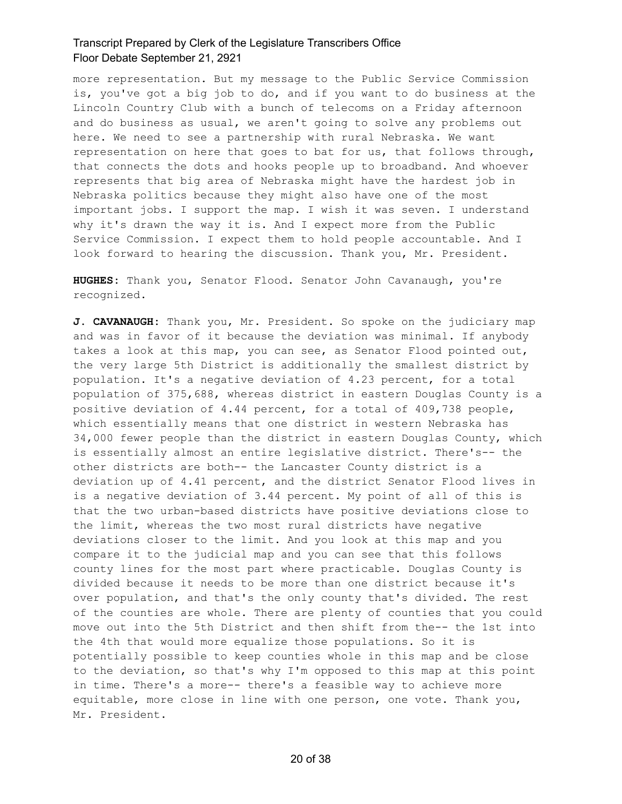more representation. But my message to the Public Service Commission is, you've got a big job to do, and if you want to do business at the Lincoln Country Club with a bunch of telecoms on a Friday afternoon and do business as usual, we aren't going to solve any problems out here. We need to see a partnership with rural Nebraska. We want representation on here that goes to bat for us, that follows through, that connects the dots and hooks people up to broadband. And whoever represents that big area of Nebraska might have the hardest job in Nebraska politics because they might also have one of the most important jobs. I support the map. I wish it was seven. I understand why it's drawn the way it is. And I expect more from the Public Service Commission. I expect them to hold people accountable. And I look forward to hearing the discussion. Thank you, Mr. President.

**HUGHES:** Thank you, Senator Flood. Senator John Cavanaugh, you're recognized.

**J. CAVANAUGH:** Thank you, Mr. President. So spoke on the judiciary map and was in favor of it because the deviation was minimal. If anybody takes a look at this map, you can see, as Senator Flood pointed out, the very large 5th District is additionally the smallest district by population. It's a negative deviation of 4.23 percent, for a total population of 375,688, whereas district in eastern Douglas County is a positive deviation of 4.44 percent, for a total of 409,738 people, which essentially means that one district in western Nebraska has 34,000 fewer people than the district in eastern Douglas County, which is essentially almost an entire legislative district. There's-- the other districts are both-- the Lancaster County district is a deviation up of 4.41 percent, and the district Senator Flood lives in is a negative deviation of 3.44 percent. My point of all of this is that the two urban-based districts have positive deviations close to the limit, whereas the two most rural districts have negative deviations closer to the limit. And you look at this map and you compare it to the judicial map and you can see that this follows county lines for the most part where practicable. Douglas County is divided because it needs to be more than one district because it's over population, and that's the only county that's divided. The rest of the counties are whole. There are plenty of counties that you could move out into the 5th District and then shift from the-- the 1st into the 4th that would more equalize those populations. So it is potentially possible to keep counties whole in this map and be close to the deviation, so that's why I'm opposed to this map at this point in time. There's a more-- there's a feasible way to achieve more equitable, more close in line with one person, one vote. Thank you, Mr. President.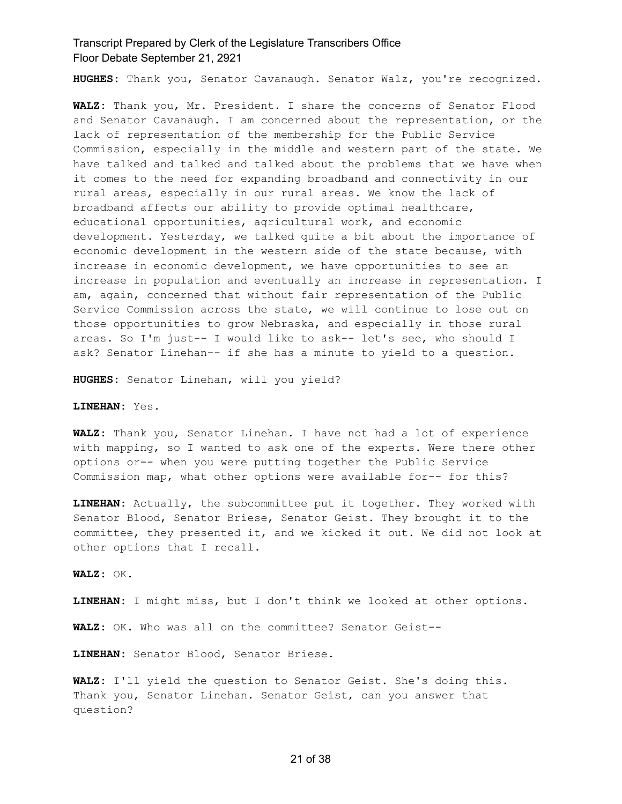**HUGHES:** Thank you, Senator Cavanaugh. Senator Walz, you're recognized.

**WALZ:** Thank you, Mr. President. I share the concerns of Senator Flood and Senator Cavanaugh. I am concerned about the representation, or the lack of representation of the membership for the Public Service Commission, especially in the middle and western part of the state. We have talked and talked and talked about the problems that we have when it comes to the need for expanding broadband and connectivity in our rural areas, especially in our rural areas. We know the lack of broadband affects our ability to provide optimal healthcare, educational opportunities, agricultural work, and economic development. Yesterday, we talked quite a bit about the importance of economic development in the western side of the state because, with increase in economic development, we have opportunities to see an increase in population and eventually an increase in representation. I am, again, concerned that without fair representation of the Public Service Commission across the state, we will continue to lose out on those opportunities to grow Nebraska, and especially in those rural areas. So I'm just-- I would like to ask-- let's see, who should I ask? Senator Linehan-- if she has a minute to yield to a question.

**HUGHES:** Senator Linehan, will you yield?

**LINEHAN:** Yes.

**WALZ:** Thank you, Senator Linehan. I have not had a lot of experience with mapping, so I wanted to ask one of the experts. Were there other options or-- when you were putting together the Public Service Commission map, what other options were available for-- for this?

**LINEHAN:** Actually, the subcommittee put it together. They worked with Senator Blood, Senator Briese, Senator Geist. They brought it to the committee, they presented it, and we kicked it out. We did not look at other options that I recall.

**WALZ:** OK.

**LINEHAN:** I might miss, but I don't think we looked at other options.

**WALZ:** OK. Who was all on the committee? Senator Geist--

**LINEHAN:** Senator Blood, Senator Briese.

**WALZ:** I'll yield the question to Senator Geist. She's doing this. Thank you, Senator Linehan. Senator Geist, can you answer that question?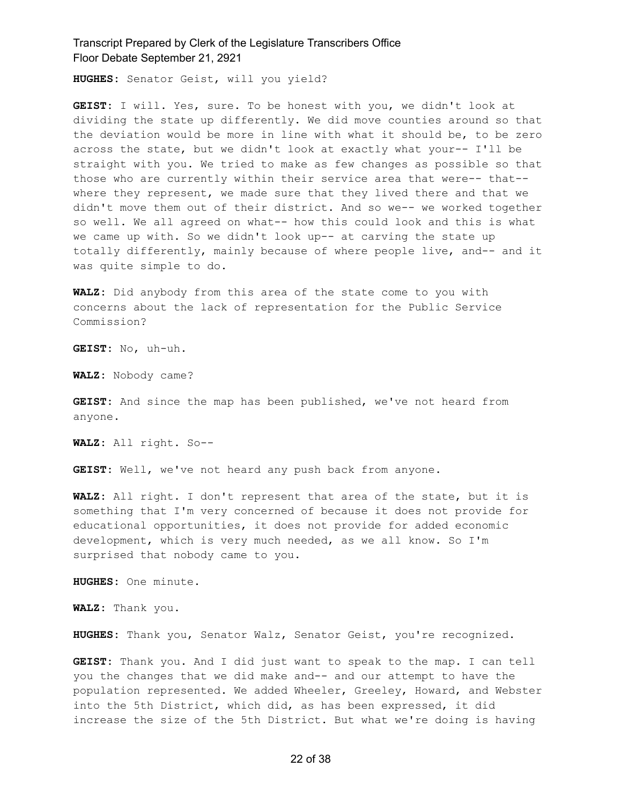**HUGHES:** Senator Geist, will you yield?

**GEIST:** I will. Yes, sure. To be honest with you, we didn't look at dividing the state up differently. We did move counties around so that the deviation would be more in line with what it should be, to be zero across the state, but we didn't look at exactly what your-- I'll be straight with you. We tried to make as few changes as possible so that those who are currently within their service area that were-- that- where they represent, we made sure that they lived there and that we didn't move them out of their district. And so we-- we worked together so well. We all agreed on what-- how this could look and this is what we came up with. So we didn't look up-- at carving the state up totally differently, mainly because of where people live, and-- and it was quite simple to do.

**WALZ:** Did anybody from this area of the state come to you with concerns about the lack of representation for the Public Service Commission?

**GEIST:** No, uh-uh.

**WALZ:** Nobody came?

**GEIST:** And since the map has been published, we've not heard from anyone.

**WALZ:** All right. So--

**GEIST:** Well, we've not heard any push back from anyone.

**WALZ:** All right. I don't represent that area of the state, but it is something that I'm very concerned of because it does not provide for educational opportunities, it does not provide for added economic development, which is very much needed, as we all know. So I'm surprised that nobody came to you.

**HUGHES:** One minute.

**WALZ:** Thank you.

**HUGHES:** Thank you, Senator Walz, Senator Geist, you're recognized.

**GEIST:** Thank you. And I did just want to speak to the map. I can tell you the changes that we did make and-- and our attempt to have the population represented. We added Wheeler, Greeley, Howard, and Webster into the 5th District, which did, as has been expressed, it did increase the size of the 5th District. But what we're doing is having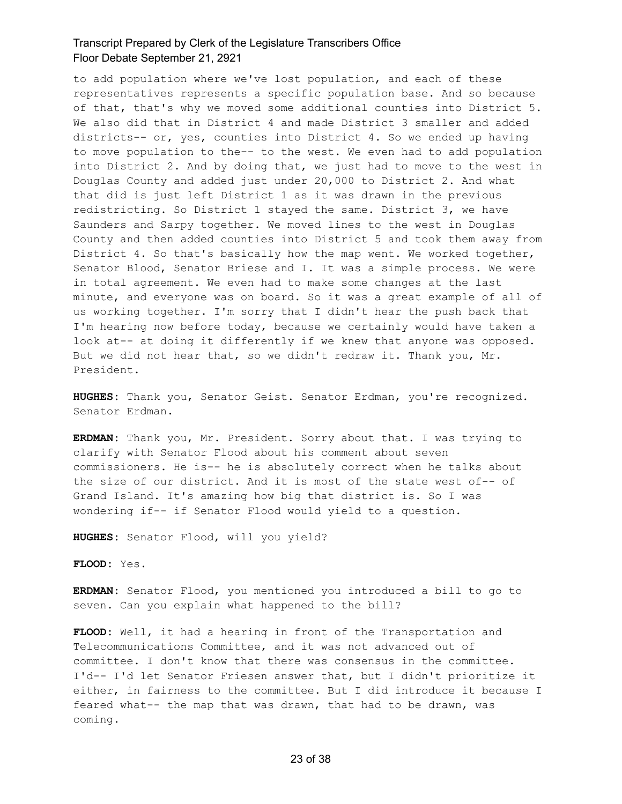to add population where we've lost population, and each of these representatives represents a specific population base. And so because of that, that's why we moved some additional counties into District 5. We also did that in District 4 and made District 3 smaller and added districts-- or, yes, counties into District 4. So we ended up having to move population to the-- to the west. We even had to add population into District 2. And by doing that, we just had to move to the west in Douglas County and added just under 20,000 to District 2. And what that did is just left District 1 as it was drawn in the previous redistricting. So District 1 stayed the same. District 3, we have Saunders and Sarpy together. We moved lines to the west in Douglas County and then added counties into District 5 and took them away from District 4. So that's basically how the map went. We worked together, Senator Blood, Senator Briese and I. It was a simple process. We were in total agreement. We even had to make some changes at the last minute, and everyone was on board. So it was a great example of all of us working together. I'm sorry that I didn't hear the push back that I'm hearing now before today, because we certainly would have taken a look at-- at doing it differently if we knew that anyone was opposed. But we did not hear that, so we didn't redraw it. Thank you, Mr. President.

**HUGHES:** Thank you, Senator Geist. Senator Erdman, you're recognized. Senator Erdman.

**ERDMAN:** Thank you, Mr. President. Sorry about that. I was trying to clarify with Senator Flood about his comment about seven commissioners. He is-- he is absolutely correct when he talks about the size of our district. And it is most of the state west of-- of Grand Island. It's amazing how big that district is. So I was wondering if-- if Senator Flood would yield to a question.

**HUGHES:** Senator Flood, will you yield?

**FLOOD:** Yes.

**ERDMAN:** Senator Flood, you mentioned you introduced a bill to go to seven. Can you explain what happened to the bill?

**FLOOD:** Well, it had a hearing in front of the Transportation and Telecommunications Committee, and it was not advanced out of committee. I don't know that there was consensus in the committee. I'd-- I'd let Senator Friesen answer that, but I didn't prioritize it either, in fairness to the committee. But I did introduce it because I feared what-- the map that was drawn, that had to be drawn, was coming.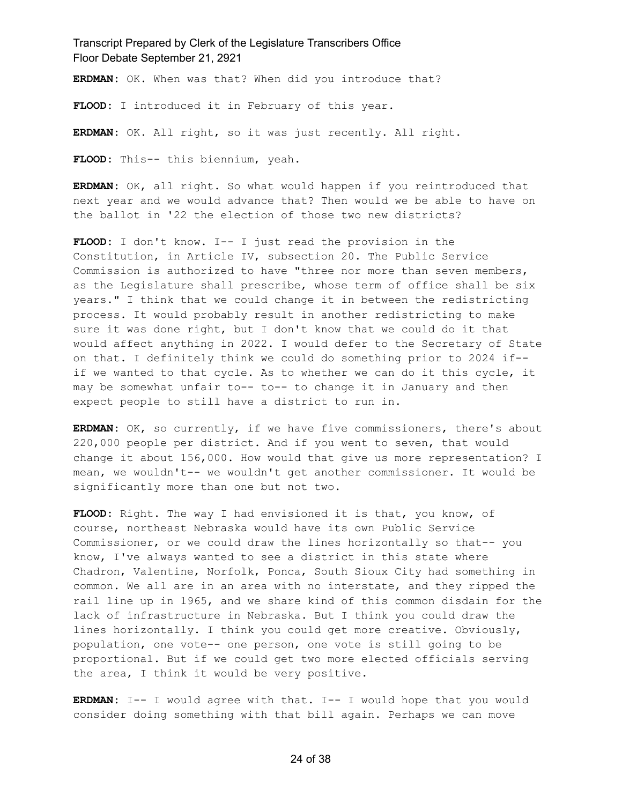**ERDMAN:** OK. When was that? When did you introduce that?

**FLOOD:** I introduced it in February of this year.

**ERDMAN:** OK. All right, so it was just recently. All right.

**FLOOD:** This-- this biennium, yeah.

**ERDMAN:** OK, all right. So what would happen if you reintroduced that next year and we would advance that? Then would we be able to have on the ballot in '22 the election of those two new districts?

**FLOOD:** I don't know. I-- I just read the provision in the Constitution, in Article IV, subsection 20. The Public Service Commission is authorized to have "three nor more than seven members, as the Legislature shall prescribe, whose term of office shall be six years." I think that we could change it in between the redistricting process. It would probably result in another redistricting to make sure it was done right, but I don't know that we could do it that would affect anything in 2022. I would defer to the Secretary of State on that. I definitely think we could do something prior to 2024 if- if we wanted to that cycle. As to whether we can do it this cycle, it may be somewhat unfair to-- to-- to change it in January and then expect people to still have a district to run in.

**ERDMAN:** OK, so currently, if we have five commissioners, there's about 220,000 people per district. And if you went to seven, that would change it about 156,000. How would that give us more representation? I mean, we wouldn't-- we wouldn't get another commissioner. It would be significantly more than one but not two.

**FLOOD:** Right. The way I had envisioned it is that, you know, of course, northeast Nebraska would have its own Public Service Commissioner, or we could draw the lines horizontally so that-- you know, I've always wanted to see a district in this state where Chadron, Valentine, Norfolk, Ponca, South Sioux City had something in common. We all are in an area with no interstate, and they ripped the rail line up in 1965, and we share kind of this common disdain for the lack of infrastructure in Nebraska. But I think you could draw the lines horizontally. I think you could get more creative. Obviously, population, one vote-- one person, one vote is still going to be proportional. But if we could get two more elected officials serving the area, I think it would be very positive.

**ERDMAN:** I-- I would agree with that. I-- I would hope that you would consider doing something with that bill again. Perhaps we can move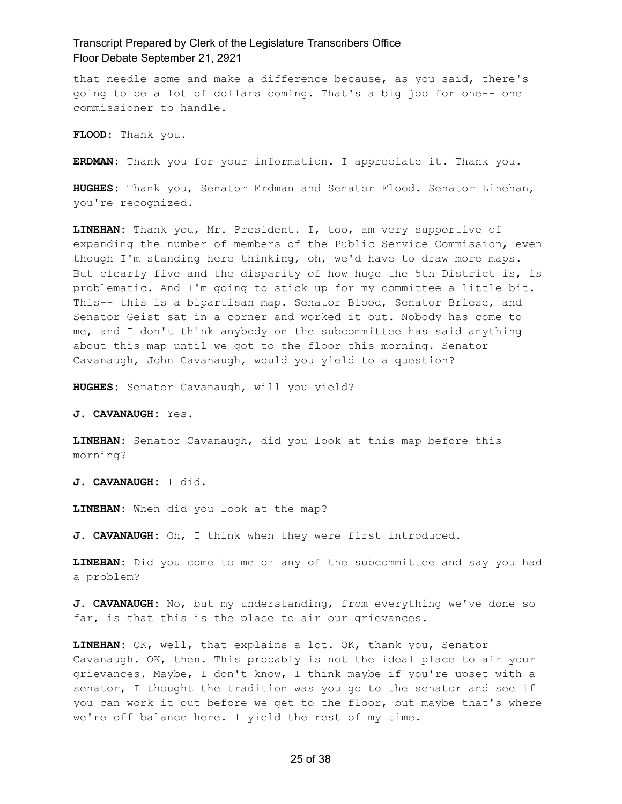that needle some and make a difference because, as you said, there's going to be a lot of dollars coming. That's a big job for one-- one commissioner to handle.

**FLOOD:** Thank you.

**ERDMAN:** Thank you for your information. I appreciate it. Thank you.

**HUGHES:** Thank you, Senator Erdman and Senator Flood. Senator Linehan, you're recognized.

**LINEHAN:** Thank you, Mr. President. I, too, am very supportive of expanding the number of members of the Public Service Commission, even though I'm standing here thinking, oh, we'd have to draw more maps. But clearly five and the disparity of how huge the 5th District is, is problematic. And I'm going to stick up for my committee a little bit. This-- this is a bipartisan map. Senator Blood, Senator Briese, and Senator Geist sat in a corner and worked it out. Nobody has come to me, and I don't think anybody on the subcommittee has said anything about this map until we got to the floor this morning. Senator Cavanaugh, John Cavanaugh, would you yield to a question?

**HUGHES:** Senator Cavanaugh, will you yield?

**J. CAVANAUGH:** Yes.

**LINEHAN:** Senator Cavanaugh, did you look at this map before this morning?

**J. CAVANAUGH:** I did.

**LINEHAN:** When did you look at the map?

**J. CAVANAUGH:** Oh, I think when they were first introduced.

**LINEHAN:** Did you come to me or any of the subcommittee and say you had a problem?

**J. CAVANAUGH:** No, but my understanding, from everything we've done so far, is that this is the place to air our grievances.

**LINEHAN:** OK, well, that explains a lot. OK, thank you, Senator Cavanaugh. OK, then. This probably is not the ideal place to air your grievances. Maybe, I don't know, I think maybe if you're upset with a senator, I thought the tradition was you go to the senator and see if you can work it out before we get to the floor, but maybe that's where we're off balance here. I yield the rest of my time.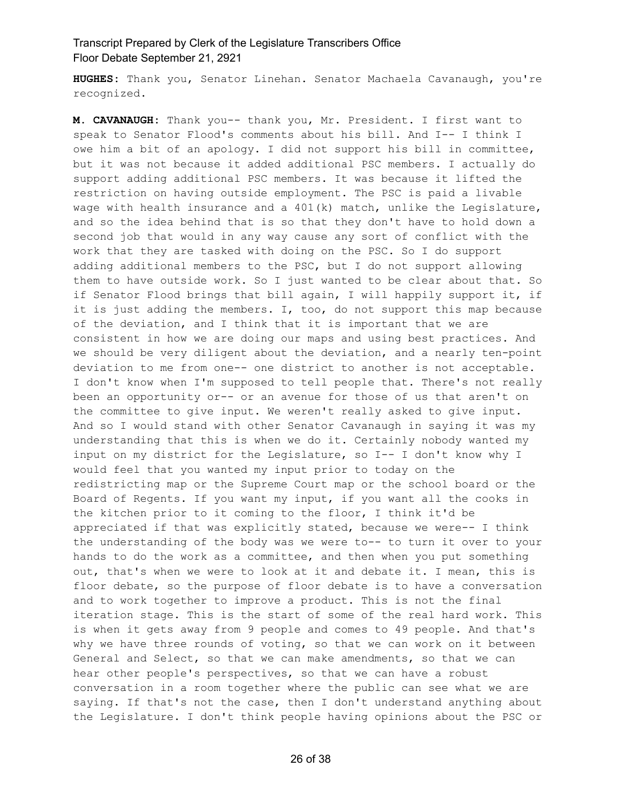**HUGHES:** Thank you, Senator Linehan. Senator Machaela Cavanaugh, you're recognized.

**M. CAVANAUGH:** Thank you-- thank you, Mr. President. I first want to speak to Senator Flood's comments about his bill. And I-- I think I owe him a bit of an apology. I did not support his bill in committee, but it was not because it added additional PSC members. I actually do support adding additional PSC members. It was because it lifted the restriction on having outside employment. The PSC is paid a livable wage with health insurance and a  $401(k)$  match, unlike the Legislature, and so the idea behind that is so that they don't have to hold down a second job that would in any way cause any sort of conflict with the work that they are tasked with doing on the PSC. So I do support adding additional members to the PSC, but I do not support allowing them to have outside work. So I just wanted to be clear about that. So if Senator Flood brings that bill again, I will happily support it, if it is just adding the members. I, too, do not support this map because of the deviation, and I think that it is important that we are consistent in how we are doing our maps and using best practices. And we should be very diligent about the deviation, and a nearly ten-point deviation to me from one-- one district to another is not acceptable. I don't know when I'm supposed to tell people that. There's not really been an opportunity or-- or an avenue for those of us that aren't on the committee to give input. We weren't really asked to give input. And so I would stand with other Senator Cavanaugh in saying it was my understanding that this is when we do it. Certainly nobody wanted my input on my district for the Legislature, so I-- I don't know why I would feel that you wanted my input prior to today on the redistricting map or the Supreme Court map or the school board or the Board of Regents. If you want my input, if you want all the cooks in the kitchen prior to it coming to the floor, I think it'd be appreciated if that was explicitly stated, because we were-- I think the understanding of the body was we were to-- to turn it over to your hands to do the work as a committee, and then when you put something out, that's when we were to look at it and debate it. I mean, this is floor debate, so the purpose of floor debate is to have a conversation and to work together to improve a product. This is not the final iteration stage. This is the start of some of the real hard work. This is when it gets away from 9 people and comes to 49 people. And that's why we have three rounds of voting, so that we can work on it between General and Select, so that we can make amendments, so that we can hear other people's perspectives, so that we can have a robust conversation in a room together where the public can see what we are saying. If that's not the case, then I don't understand anything about the Legislature. I don't think people having opinions about the PSC or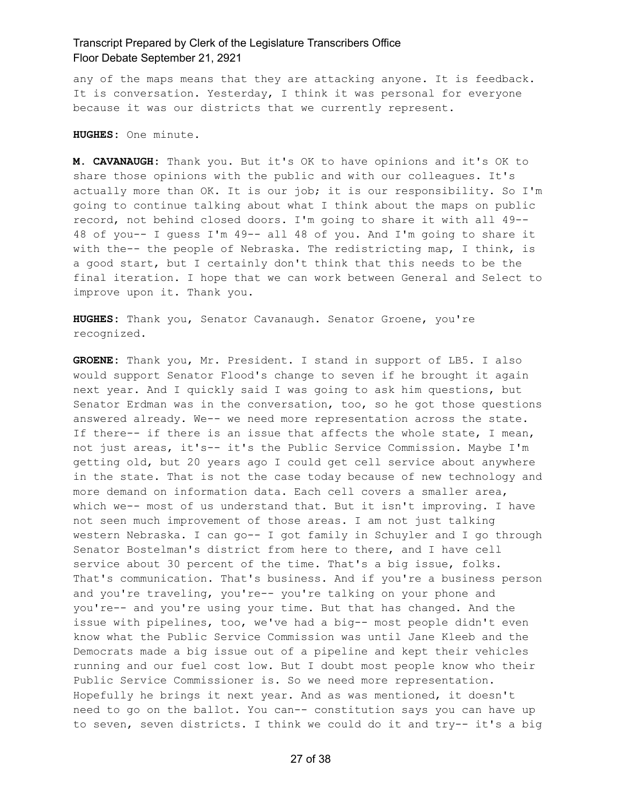any of the maps means that they are attacking anyone. It is feedback. It is conversation. Yesterday, I think it was personal for everyone because it was our districts that we currently represent.

**HUGHES:** One minute.

**M. CAVANAUGH:** Thank you. But it's OK to have opinions and it's OK to share those opinions with the public and with our colleagues. It's actually more than OK. It is our job; it is our responsibility. So I'm going to continue talking about what I think about the maps on public record, not behind closed doors. I'm going to share it with all 49-- 48 of you-- I guess I'm 49-- all 48 of you. And I'm going to share it with the-- the people of Nebraska. The redistricting map, I think, is a good start, but I certainly don't think that this needs to be the final iteration. I hope that we can work between General and Select to improve upon it. Thank you.

**HUGHES:** Thank you, Senator Cavanaugh. Senator Groene, you're recognized.

**GROENE:** Thank you, Mr. President. I stand in support of LB5. I also would support Senator Flood's change to seven if he brought it again next year. And I quickly said I was going to ask him questions, but Senator Erdman was in the conversation, too, so he got those questions answered already. We-- we need more representation across the state. If there-- if there is an issue that affects the whole state, I mean, not just areas, it's-- it's the Public Service Commission. Maybe I'm getting old, but 20 years ago I could get cell service about anywhere in the state. That is not the case today because of new technology and more demand on information data. Each cell covers a smaller area, which we-- most of us understand that. But it isn't improving. I have not seen much improvement of those areas. I am not just talking western Nebraska. I can go-- I got family in Schuyler and I go through Senator Bostelman's district from here to there, and I have cell service about 30 percent of the time. That's a big issue, folks. That's communication. That's business. And if you're a business person and you're traveling, you're-- you're talking on your phone and you're-- and you're using your time. But that has changed. And the issue with pipelines, too, we've had a big-- most people didn't even know what the Public Service Commission was until Jane Kleeb and the Democrats made a big issue out of a pipeline and kept their vehicles running and our fuel cost low. But I doubt most people know who their Public Service Commissioner is. So we need more representation. Hopefully he brings it next year. And as was mentioned, it doesn't need to go on the ballot. You can-- constitution says you can have up to seven, seven districts. I think we could do it and try-- it's a big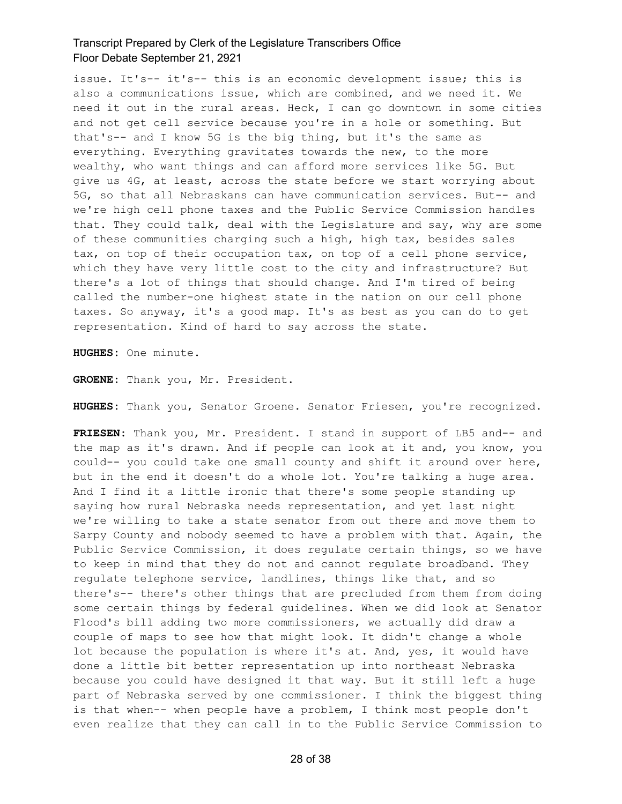issue. It's-- it's-- this is an economic development issue; this is also a communications issue, which are combined, and we need it. We need it out in the rural areas. Heck, I can go downtown in some cities and not get cell service because you're in a hole or something. But that's-- and I know 5G is the big thing, but it's the same as everything. Everything gravitates towards the new, to the more wealthy, who want things and can afford more services like 5G. But give us 4G, at least, across the state before we start worrying about 5G, so that all Nebraskans can have communication services. But-- and we're high cell phone taxes and the Public Service Commission handles that. They could talk, deal with the Legislature and say, why are some of these communities charging such a high, high tax, besides sales tax, on top of their occupation tax, on top of a cell phone service, which they have very little cost to the city and infrastructure? But there's a lot of things that should change. And I'm tired of being called the number-one highest state in the nation on our cell phone taxes. So anyway, it's a good map. It's as best as you can do to get representation. Kind of hard to say across the state.

**HUGHES:** One minute.

**GROENE:** Thank you, Mr. President.

**HUGHES:** Thank you, Senator Groene. Senator Friesen, you're recognized.

**FRIESEN:** Thank you, Mr. President. I stand in support of LB5 and-- and the map as it's drawn. And if people can look at it and, you know, you could-- you could take one small county and shift it around over here, but in the end it doesn't do a whole lot. You're talking a huge area. And I find it a little ironic that there's some people standing up saying how rural Nebraska needs representation, and yet last night we're willing to take a state senator from out there and move them to Sarpy County and nobody seemed to have a problem with that. Again, the Public Service Commission, it does regulate certain things, so we have to keep in mind that they do not and cannot regulate broadband. They regulate telephone service, landlines, things like that, and so there's-- there's other things that are precluded from them from doing some certain things by federal guidelines. When we did look at Senator Flood's bill adding two more commissioners, we actually did draw a couple of maps to see how that might look. It didn't change a whole lot because the population is where it's at. And, yes, it would have done a little bit better representation up into northeast Nebraska because you could have designed it that way. But it still left a huge part of Nebraska served by one commissioner. I think the biggest thing is that when-- when people have a problem, I think most people don't even realize that they can call in to the Public Service Commission to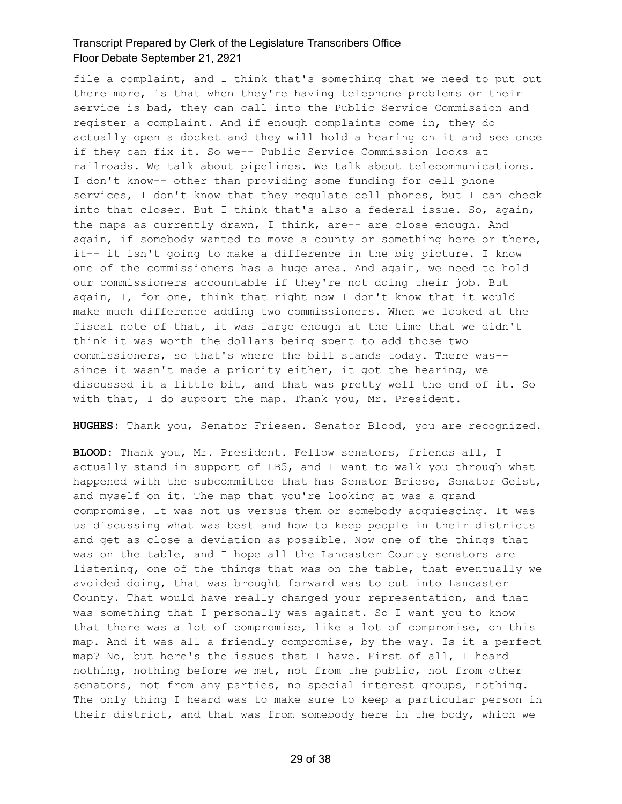file a complaint, and I think that's something that we need to put out there more, is that when they're having telephone problems or their service is bad, they can call into the Public Service Commission and register a complaint. And if enough complaints come in, they do actually open a docket and they will hold a hearing on it and see once if they can fix it. So we-- Public Service Commission looks at railroads. We talk about pipelines. We talk about telecommunications. I don't know-- other than providing some funding for cell phone services, I don't know that they regulate cell phones, but I can check into that closer. But I think that's also a federal issue. So, again, the maps as currently drawn, I think, are-- are close enough. And again, if somebody wanted to move a county or something here or there, it-- it isn't going to make a difference in the big picture. I know one of the commissioners has a huge area. And again, we need to hold our commissioners accountable if they're not doing their job. But again, I, for one, think that right now I don't know that it would make much difference adding two commissioners. When we looked at the fiscal note of that, it was large enough at the time that we didn't think it was worth the dollars being spent to add those two commissioners, so that's where the bill stands today. There was- since it wasn't made a priority either, it got the hearing, we discussed it a little bit, and that was pretty well the end of it. So with that, I do support the map. Thank you, Mr. President.

**HUGHES:** Thank you, Senator Friesen. Senator Blood, you are recognized.

**BLOOD:** Thank you, Mr. President. Fellow senators, friends all, I actually stand in support of LB5, and I want to walk you through what happened with the subcommittee that has Senator Briese, Senator Geist, and myself on it. The map that you're looking at was a grand compromise. It was not us versus them or somebody acquiescing. It was us discussing what was best and how to keep people in their districts and get as close a deviation as possible. Now one of the things that was on the table, and I hope all the Lancaster County senators are listening, one of the things that was on the table, that eventually we avoided doing, that was brought forward was to cut into Lancaster County. That would have really changed your representation, and that was something that I personally was against. So I want you to know that there was a lot of compromise, like a lot of compromise, on this map. And it was all a friendly compromise, by the way. Is it a perfect map? No, but here's the issues that I have. First of all, I heard nothing, nothing before we met, not from the public, not from other senators, not from any parties, no special interest groups, nothing. The only thing I heard was to make sure to keep a particular person in their district, and that was from somebody here in the body, which we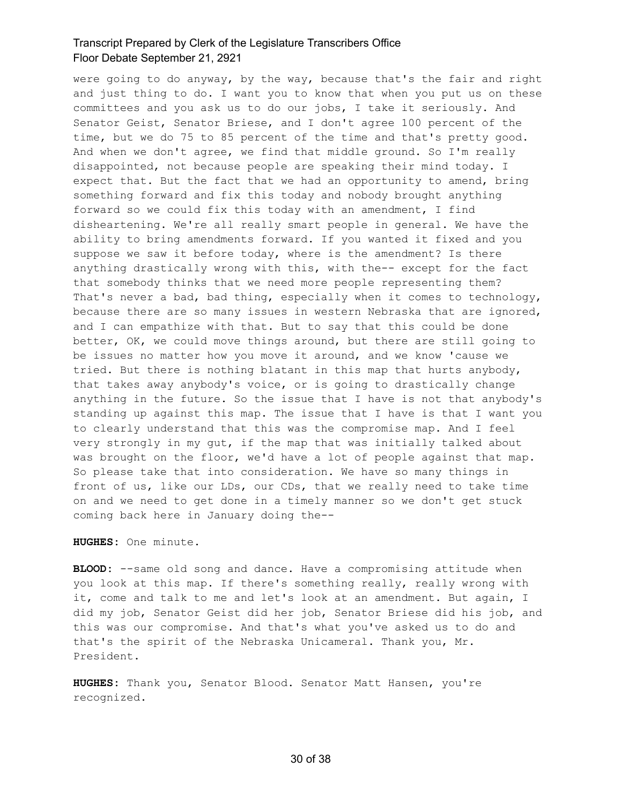were going to do anyway, by the way, because that's the fair and right and just thing to do. I want you to know that when you put us on these committees and you ask us to do our jobs, I take it seriously. And Senator Geist, Senator Briese, and I don't agree 100 percent of the time, but we do 75 to 85 percent of the time and that's pretty good. And when we don't agree, we find that middle ground. So I'm really disappointed, not because people are speaking their mind today. I expect that. But the fact that we had an opportunity to amend, bring something forward and fix this today and nobody brought anything forward so we could fix this today with an amendment, I find disheartening. We're all really smart people in general. We have the ability to bring amendments forward. If you wanted it fixed and you suppose we saw it before today, where is the amendment? Is there anything drastically wrong with this, with the-- except for the fact that somebody thinks that we need more people representing them? That's never a bad, bad thing, especially when it comes to technology, because there are so many issues in western Nebraska that are ignored, and I can empathize with that. But to say that this could be done better, OK, we could move things around, but there are still going to be issues no matter how you move it around, and we know 'cause we tried. But there is nothing blatant in this map that hurts anybody, that takes away anybody's voice, or is going to drastically change anything in the future. So the issue that I have is not that anybody's standing up against this map. The issue that I have is that I want you to clearly understand that this was the compromise map. And I feel very strongly in my gut, if the map that was initially talked about was brought on the floor, we'd have a lot of people against that map. So please take that into consideration. We have so many things in front of us, like our LDs, our CDs, that we really need to take time on and we need to get done in a timely manner so we don't get stuck coming back here in January doing the--

**HUGHES:** One minute.

**BLOOD:** --same old song and dance. Have a compromising attitude when you look at this map. If there's something really, really wrong with it, come and talk to me and let's look at an amendment. But again, I did my job, Senator Geist did her job, Senator Briese did his job, and this was our compromise. And that's what you've asked us to do and that's the spirit of the Nebraska Unicameral. Thank you, Mr. President.

**HUGHES:** Thank you, Senator Blood. Senator Matt Hansen, you're recognized.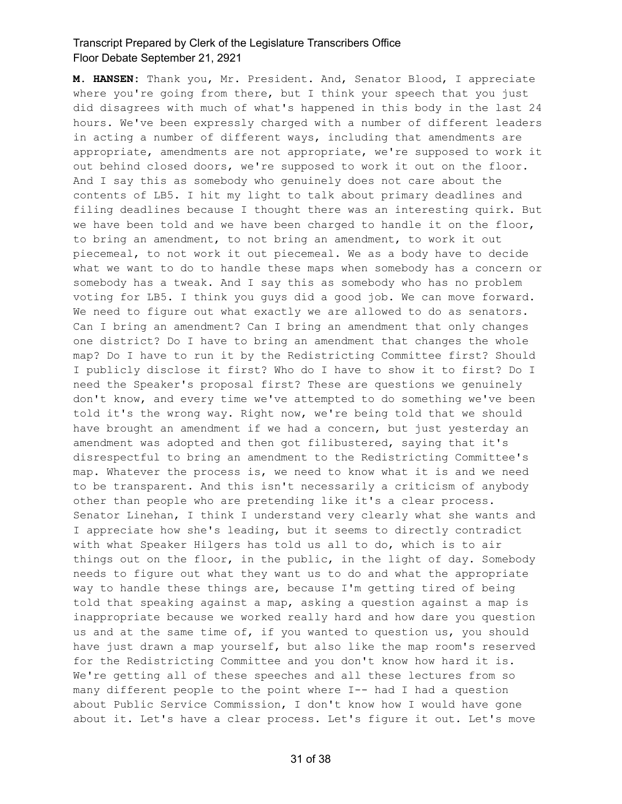**M. HANSEN:** Thank you, Mr. President. And, Senator Blood, I appreciate where you're going from there, but I think your speech that you just did disagrees with much of what's happened in this body in the last 24 hours. We've been expressly charged with a number of different leaders in acting a number of different ways, including that amendments are appropriate, amendments are not appropriate, we're supposed to work it out behind closed doors, we're supposed to work it out on the floor. And I say this as somebody who genuinely does not care about the contents of LB5. I hit my light to talk about primary deadlines and filing deadlines because I thought there was an interesting quirk. But we have been told and we have been charged to handle it on the floor, to bring an amendment, to not bring an amendment, to work it out piecemeal, to not work it out piecemeal. We as a body have to decide what we want to do to handle these maps when somebody has a concern or somebody has a tweak. And I say this as somebody who has no problem voting for LB5. I think you guys did a good job. We can move forward. We need to figure out what exactly we are allowed to do as senators. Can I bring an amendment? Can I bring an amendment that only changes one district? Do I have to bring an amendment that changes the whole map? Do I have to run it by the Redistricting Committee first? Should I publicly disclose it first? Who do I have to show it to first? Do I need the Speaker's proposal first? These are questions we genuinely don't know, and every time we've attempted to do something we've been told it's the wrong way. Right now, we're being told that we should have brought an amendment if we had a concern, but just yesterday an amendment was adopted and then got filibustered, saying that it's disrespectful to bring an amendment to the Redistricting Committee's map. Whatever the process is, we need to know what it is and we need to be transparent. And this isn't necessarily a criticism of anybody other than people who are pretending like it's a clear process. Senator Linehan, I think I understand very clearly what she wants and I appreciate how she's leading, but it seems to directly contradict with what Speaker Hilgers has told us all to do, which is to air things out on the floor, in the public, in the light of day. Somebody needs to figure out what they want us to do and what the appropriate way to handle these things are, because I'm getting tired of being told that speaking against a map, asking a question against a map is inappropriate because we worked really hard and how dare you question us and at the same time of, if you wanted to question us, you should have just drawn a map yourself, but also like the map room's reserved for the Redistricting Committee and you don't know how hard it is. We're getting all of these speeches and all these lectures from so many different people to the point where I-- had I had a question about Public Service Commission, I don't know how I would have gone about it. Let's have a clear process. Let's figure it out. Let's move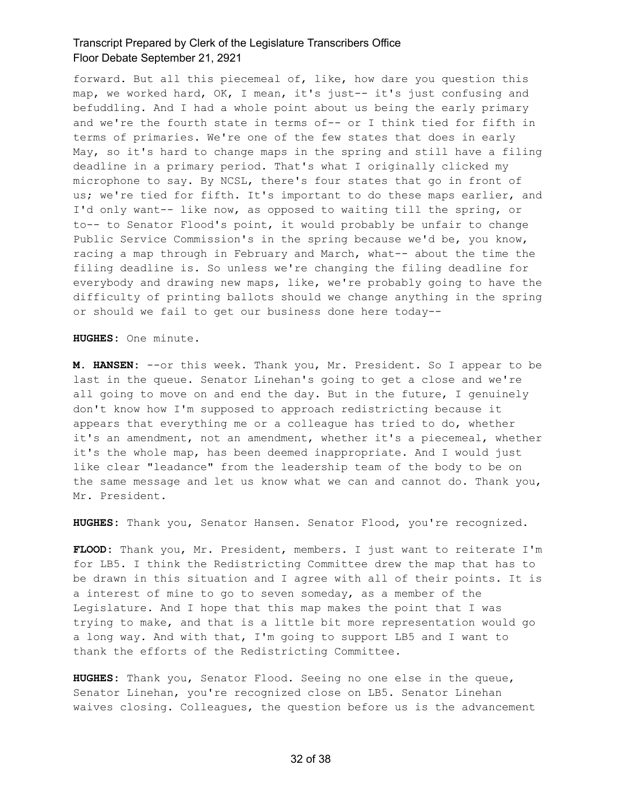forward. But all this piecemeal of, like, how dare you question this map, we worked hard, OK, I mean, it's just-- it's just confusing and befuddling. And I had a whole point about us being the early primary and we're the fourth state in terms of-- or I think tied for fifth in terms of primaries. We're one of the few states that does in early May, so it's hard to change maps in the spring and still have a filing deadline in a primary period. That's what I originally clicked my microphone to say. By NCSL, there's four states that go in front of us; we're tied for fifth. It's important to do these maps earlier, and I'd only want-- like now, as opposed to waiting till the spring, or to-- to Senator Flood's point, it would probably be unfair to change Public Service Commission's in the spring because we'd be, you know, racing a map through in February and March, what-- about the time the filing deadline is. So unless we're changing the filing deadline for everybody and drawing new maps, like, we're probably going to have the difficulty of printing ballots should we change anything in the spring or should we fail to get our business done here today--

**HUGHES:** One minute.

**M. HANSEN:** --or this week. Thank you, Mr. President. So I appear to be last in the queue. Senator Linehan's going to get a close and we're all going to move on and end the day. But in the future, I genuinely don't know how I'm supposed to approach redistricting because it appears that everything me or a colleague has tried to do, whether it's an amendment, not an amendment, whether it's a piecemeal, whether it's the whole map, has been deemed inappropriate. And I would just like clear "leadance" from the leadership team of the body to be on the same message and let us know what we can and cannot do. Thank you, Mr. President.

**HUGHES:** Thank you, Senator Hansen. Senator Flood, you're recognized.

**FLOOD:** Thank you, Mr. President, members. I just want to reiterate I'm for LB5. I think the Redistricting Committee drew the map that has to be drawn in this situation and I agree with all of their points. It is a interest of mine to go to seven someday, as a member of the Legislature. And I hope that this map makes the point that I was trying to make, and that is a little bit more representation would go a long way. And with that, I'm going to support LB5 and I want to thank the efforts of the Redistricting Committee.

**HUGHES:** Thank you, Senator Flood. Seeing no one else in the queue, Senator Linehan, you're recognized close on LB5. Senator Linehan waives closing. Colleagues, the question before us is the advancement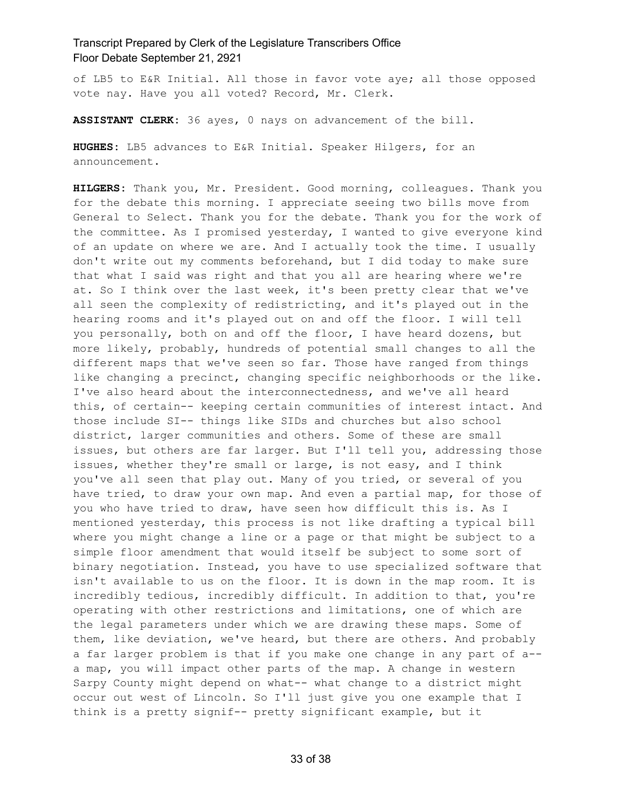of LB5 to E&R Initial. All those in favor vote aye; all those opposed vote nay. Have you all voted? Record, Mr. Clerk.

**ASSISTANT CLERK:** 36 ayes, 0 nays on advancement of the bill.

**HUGHES:** LB5 advances to E&R Initial. Speaker Hilgers, for an announcement.

**HILGERS:** Thank you, Mr. President. Good morning, colleagues. Thank you for the debate this morning. I appreciate seeing two bills move from General to Select. Thank you for the debate. Thank you for the work of the committee. As I promised yesterday, I wanted to give everyone kind of an update on where we are. And I actually took the time. I usually don't write out my comments beforehand, but I did today to make sure that what I said was right and that you all are hearing where we're at. So I think over the last week, it's been pretty clear that we've all seen the complexity of redistricting, and it's played out in the hearing rooms and it's played out on and off the floor. I will tell you personally, both on and off the floor, I have heard dozens, but more likely, probably, hundreds of potential small changes to all the different maps that we've seen so far. Those have ranged from things like changing a precinct, changing specific neighborhoods or the like. I've also heard about the interconnectedness, and we've all heard this, of certain-- keeping certain communities of interest intact. And those include SI-- things like SIDs and churches but also school district, larger communities and others. Some of these are small issues, but others are far larger. But I'll tell you, addressing those issues, whether they're small or large, is not easy, and I think you've all seen that play out. Many of you tried, or several of you have tried, to draw your own map. And even a partial map, for those of you who have tried to draw, have seen how difficult this is. As I mentioned yesterday, this process is not like drafting a typical bill where you might change a line or a page or that might be subject to a simple floor amendment that would itself be subject to some sort of binary negotiation. Instead, you have to use specialized software that isn't available to us on the floor. It is down in the map room. It is incredibly tedious, incredibly difficult. In addition to that, you're operating with other restrictions and limitations, one of which are the legal parameters under which we are drawing these maps. Some of them, like deviation, we've heard, but there are others. And probably a far larger problem is that if you make one change in any part of a- a map, you will impact other parts of the map. A change in western Sarpy County might depend on what-- what change to a district might occur out west of Lincoln. So I'll just give you one example that I think is a pretty signif-- pretty significant example, but it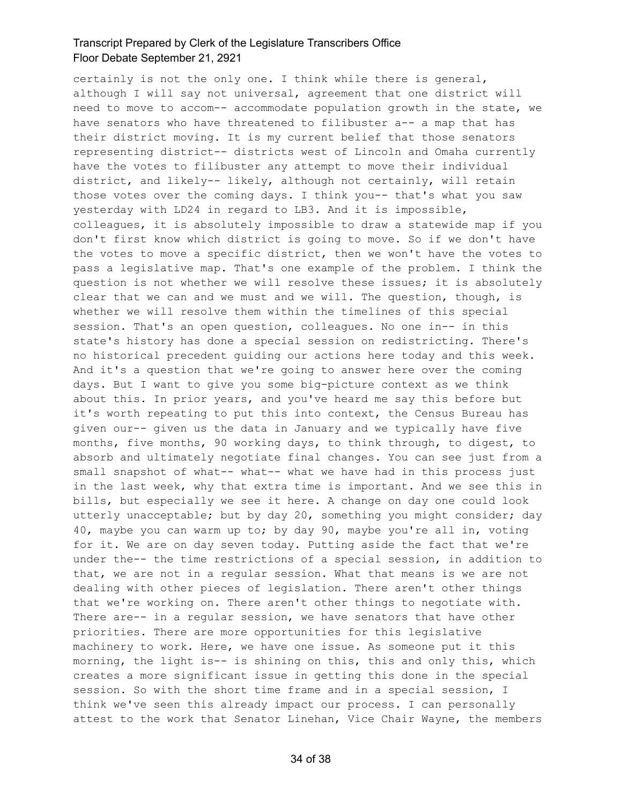certainly is not the only one. I think while there is general, although I will say not universal, agreement that one district will need to move to accom-- accommodate population growth in the state, we have senators who have threatened to filibuster a-- a map that has their district moving. It is my current belief that those senators representing district-- districts west of Lincoln and Omaha currently have the votes to filibuster any attempt to move their individual district, and likely-- likely, although not certainly, will retain those votes over the coming days. I think you-- that's what you saw yesterday with LD24 in regard to LB3. And it is impossible, colleagues, it is absolutely impossible to draw a statewide map if you don't first know which district is going to move. So if we don't have the votes to move a specific district, then we won't have the votes to pass a legislative map. That's one example of the problem. I think the question is not whether we will resolve these issues; it is absolutely clear that we can and we must and we will. The question, though, is whether we will resolve them within the timelines of this special session. That's an open question, colleagues. No one in-- in this state's history has done a special session on redistricting. There's no historical precedent guiding our actions here today and this week. And it's a question that we're going to answer here over the coming days. But I want to give you some big-picture context as we think about this. In prior years, and you've heard me say this before but it's worth repeating to put this into context, the Census Bureau has given our-- given us the data in January and we typically have five months, five months, 90 working days, to think through, to digest, to absorb and ultimately negotiate final changes. You can see just from a small snapshot of what-- what-- what we have had in this process just in the last week, why that extra time is important. And we see this in bills, but especially we see it here. A change on day one could look utterly unacceptable; but by day 20, something you might consider; day 40, maybe you can warm up to; by day 90, maybe you're all in, voting for it. We are on day seven today. Putting aside the fact that we're under the-- the time restrictions of a special session, in addition to that, we are not in a regular session. What that means is we are not dealing with other pieces of legislation. There aren't other things that we're working on. There aren't other things to negotiate with. There are-- in a regular session, we have senators that have other priorities. There are more opportunities for this legislative machinery to work. Here, we have one issue. As someone put it this morning, the light is-- is shining on this, this and only this, which creates a more significant issue in getting this done in the special session. So with the short time frame and in a special session, I think we've seen this already impact our process. I can personally attest to the work that Senator Linehan, Vice Chair Wayne, the members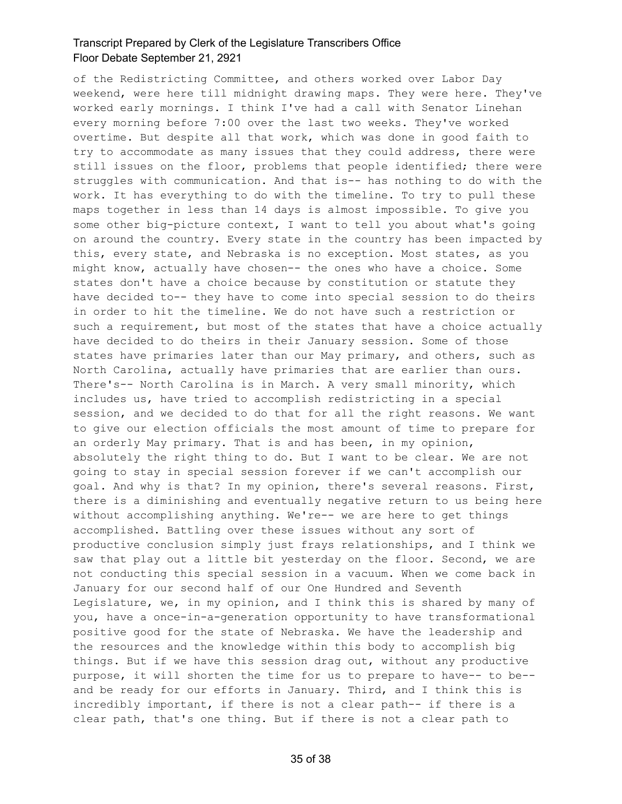of the Redistricting Committee, and others worked over Labor Day weekend, were here till midnight drawing maps. They were here. They've worked early mornings. I think I've had a call with Senator Linehan every morning before 7:00 over the last two weeks. They've worked overtime. But despite all that work, which was done in good faith to try to accommodate as many issues that they could address, there were still issues on the floor, problems that people identified; there were struggles with communication. And that is-- has nothing to do with the work. It has everything to do with the timeline. To try to pull these maps together in less than 14 days is almost impossible. To give you some other big-picture context, I want to tell you about what's going on around the country. Every state in the country has been impacted by this, every state, and Nebraska is no exception. Most states, as you might know, actually have chosen-- the ones who have a choice. Some states don't have a choice because by constitution or statute they have decided to-- they have to come into special session to do theirs in order to hit the timeline. We do not have such a restriction or such a requirement, but most of the states that have a choice actually have decided to do theirs in their January session. Some of those states have primaries later than our May primary, and others, such as North Carolina, actually have primaries that are earlier than ours. There's-- North Carolina is in March. A very small minority, which includes us, have tried to accomplish redistricting in a special session, and we decided to do that for all the right reasons. We want to give our election officials the most amount of time to prepare for an orderly May primary. That is and has been, in my opinion, absolutely the right thing to do. But I want to be clear. We are not going to stay in special session forever if we can't accomplish our goal. And why is that? In my opinion, there's several reasons. First, there is a diminishing and eventually negative return to us being here without accomplishing anything. We're-- we are here to get things accomplished. Battling over these issues without any sort of productive conclusion simply just frays relationships, and I think we saw that play out a little bit yesterday on the floor. Second, we are not conducting this special session in a vacuum. When we come back in January for our second half of our One Hundred and Seventh Legislature, we, in my opinion, and I think this is shared by many of you, have a once-in-a-generation opportunity to have transformational positive good for the state of Nebraska. We have the leadership and the resources and the knowledge within this body to accomplish big things. But if we have this session drag out, without any productive purpose, it will shorten the time for us to prepare to have-- to be- and be ready for our efforts in January. Third, and I think this is incredibly important, if there is not a clear path-- if there is a clear path, that's one thing. But if there is not a clear path to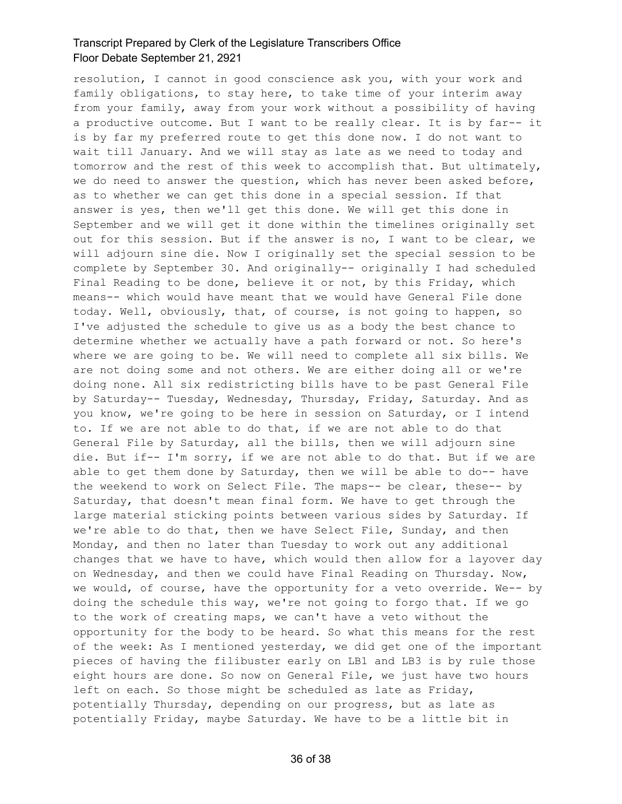resolution, I cannot in good conscience ask you, with your work and family obligations, to stay here, to take time of your interim away from your family, away from your work without a possibility of having a productive outcome. But I want to be really clear. It is by far-- it is by far my preferred route to get this done now. I do not want to wait till January. And we will stay as late as we need to today and tomorrow and the rest of this week to accomplish that. But ultimately, we do need to answer the question, which has never been asked before, as to whether we can get this done in a special session. If that answer is yes, then we'll get this done. We will get this done in September and we will get it done within the timelines originally set out for this session. But if the answer is no, I want to be clear, we will adjourn sine die. Now I originally set the special session to be complete by September 30. And originally-- originally I had scheduled Final Reading to be done, believe it or not, by this Friday, which means-- which would have meant that we would have General File done today. Well, obviously, that, of course, is not going to happen, so I've adjusted the schedule to give us as a body the best chance to determine whether we actually have a path forward or not. So here's where we are going to be. We will need to complete all six bills. We are not doing some and not others. We are either doing all or we're doing none. All six redistricting bills have to be past General File by Saturday-- Tuesday, Wednesday, Thursday, Friday, Saturday. And as you know, we're going to be here in session on Saturday, or I intend to. If we are not able to do that, if we are not able to do that General File by Saturday, all the bills, then we will adjourn sine die. But if-- I'm sorry, if we are not able to do that. But if we are able to get them done by Saturday, then we will be able to do-- have the weekend to work on Select File. The maps-- be clear, these-- by Saturday, that doesn't mean final form. We have to get through the large material sticking points between various sides by Saturday. If we're able to do that, then we have Select File, Sunday, and then Monday, and then no later than Tuesday to work out any additional changes that we have to have, which would then allow for a layover day on Wednesday, and then we could have Final Reading on Thursday. Now, we would, of course, have the opportunity for a veto override. We-- by doing the schedule this way, we're not going to forgo that. If we go to the work of creating maps, we can't have a veto without the opportunity for the body to be heard. So what this means for the rest of the week: As I mentioned yesterday, we did get one of the important pieces of having the filibuster early on LB1 and LB3 is by rule those eight hours are done. So now on General File, we just have two hours left on each. So those might be scheduled as late as Friday, potentially Thursday, depending on our progress, but as late as potentially Friday, maybe Saturday. We have to be a little bit in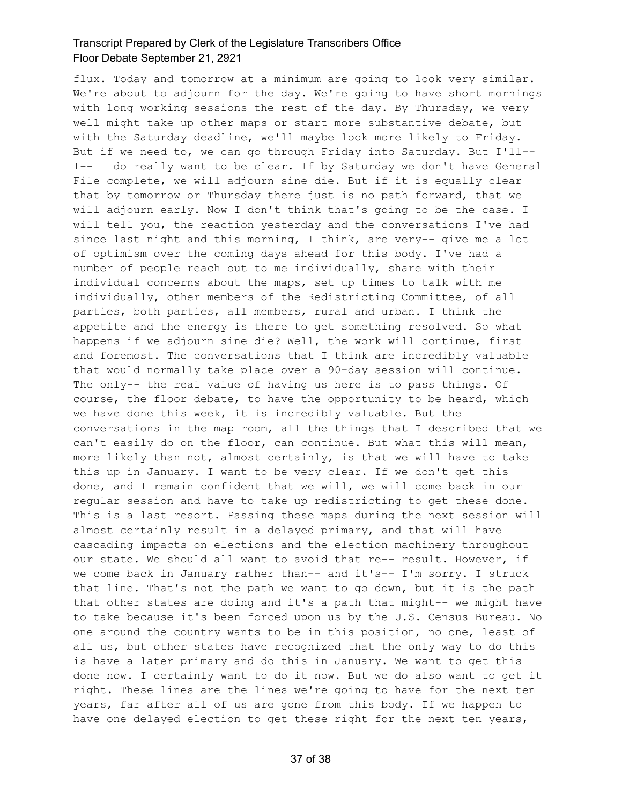flux. Today and tomorrow at a minimum are going to look very similar. We're about to adjourn for the day. We're going to have short mornings with long working sessions the rest of the day. By Thursday, we very well might take up other maps or start more substantive debate, but with the Saturday deadline, we'll maybe look more likely to Friday. But if we need to, we can go through Friday into Saturday. But I'll-- I-- I do really want to be clear. If by Saturday we don't have General File complete, we will adjourn sine die. But if it is equally clear that by tomorrow or Thursday there just is no path forward, that we will adjourn early. Now I don't think that's going to be the case. I will tell you, the reaction yesterday and the conversations I've had since last night and this morning, I think, are very-- give me a lot of optimism over the coming days ahead for this body. I've had a number of people reach out to me individually, share with their individual concerns about the maps, set up times to talk with me individually, other members of the Redistricting Committee, of all parties, both parties, all members, rural and urban. I think the appetite and the energy is there to get something resolved. So what happens if we adjourn sine die? Well, the work will continue, first and foremost. The conversations that I think are incredibly valuable that would normally take place over a 90-day session will continue. The only-- the real value of having us here is to pass things. Of course, the floor debate, to have the opportunity to be heard, which we have done this week, it is incredibly valuable. But the conversations in the map room, all the things that I described that we can't easily do on the floor, can continue. But what this will mean, more likely than not, almost certainly, is that we will have to take this up in January. I want to be very clear. If we don't get this done, and I remain confident that we will, we will come back in our regular session and have to take up redistricting to get these done. This is a last resort. Passing these maps during the next session will almost certainly result in a delayed primary, and that will have cascading impacts on elections and the election machinery throughout our state. We should all want to avoid that re-- result. However, if we come back in January rather than-- and it's-- I'm sorry. I struck that line. That's not the path we want to go down, but it is the path that other states are doing and it's a path that might-- we might have to take because it's been forced upon us by the U.S. Census Bureau. No one around the country wants to be in this position, no one, least of all us, but other states have recognized that the only way to do this is have a later primary and do this in January. We want to get this done now. I certainly want to do it now. But we do also want to get it right. These lines are the lines we're going to have for the next ten years, far after all of us are gone from this body. If we happen to have one delayed election to get these right for the next ten years,